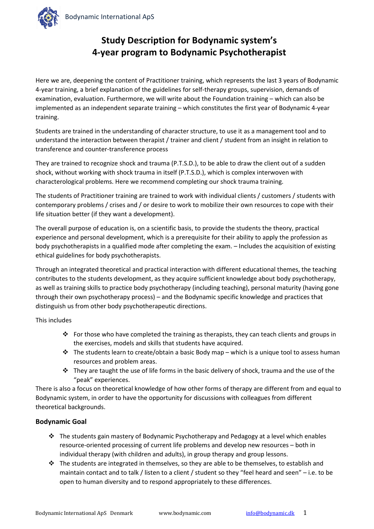

## **Study Description for Bodynamic system's 4-year program to Bodynamic Psychotherapist**

Here we are, deepening the content of Practitioner training, which represents the last 3 years of Bodynamic 4-year training, a brief explanation of the guidelines for self-therapy groups, supervision, demands of examination, evaluation. Furthermore, we will write about the Foundation training – which can also be implemented as an independent separate training – which constitutes the first year of Bodynamic 4-year training.

Students are trained in the understanding of character structure, to use it as a management tool and to understand the interaction between therapist / trainer and client / student from an insight in relation to transference and counter-transference process

They are trained to recognize shock and trauma (P.T.S.D.), to be able to draw the client out of a sudden shock, without working with shock trauma in itself (P.T.S.D.), which is complex interwoven with characterological problems. Here we recommend completing our shock trauma training.

The students of Practitioner training are trained to work with individual clients / customers / students with contemporary problems / crises and / or desire to work to mobilize their own resources to cope with their life situation better (if they want a development).

The overall purpose of education is, on a scientific basis, to provide the students the theory, practical experience and personal development, which is a prerequisite for their ability to apply the profession as body psychotherapists in a qualified mode after completing the exam. – Includes the acquisition of existing ethical guidelines for body psychotherapists.

Through an integrated theoretical and practical interaction with different educational themes, the teaching contributes to the students development, as they acquire sufficient knowledge about body psychotherapy, as well as training skills to practice body psychotherapy (including teaching), personal maturity (having gone through their own psychotherapy process) – and the Bodynamic specific knowledge and practices that distinguish us from other body psychotherapeutic directions.

This includes

- For those who have completed the training as therapists, they can teach clients and groups in the exercises, models and skills that students have acquired.
- $\cdot \cdot$  The students learn to create/obtain a basic Body map which is a unique tool to assess human resources and problem areas.
- $\cdot \cdot$  They are taught the use of life forms in the basic delivery of shock, trauma and the use of the "peak" experiences.

There is also a focus on theoretical knowledge of how other forms of therapy are different from and equal to Bodynamic system, in order to have the opportunity for discussions with colleagues from different theoretical backgrounds.

#### **Bodynamic Goal**

- The students gain mastery of Bodynamic Psychotherapy and Pedagogy at a level which enables resource-oriented processing of current life problems and develop new resources – both in individual therapy (with children and adults), in group therapy and group lessons.
- $\cdot \cdot$  The students are integrated in themselves, so they are able to be themselves, to establish and maintain contact and to talk / listen to a client / student so they "feel heard and seen" – i.e. to be open to human diversity and to respond appropriately to these differences.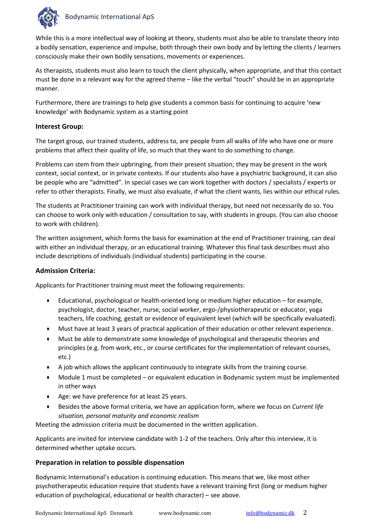

While this is a more intellectual way of looking at theory, students must also be able to translate theory into a bodily sensation, experience and impulse, both through their own body and by letting the clients / learners consciously make their own bodily sensations, movements or experiences.

As therapists, students must also learn to touch the client physically, when appropriate, and that this contact must be done in a relevant way for the agreed theme – like the verbal "touch" should be in an appropriate manner.

Furthermore, there are trainings to help give students a common basis for continuing to acquire 'new knowledge' with Bodynamic system as a starting point

#### **Interest Group:**

The target group, our trained students, address to, are people from all walks of life who have one or more problems that affect their quality of life, so much that they want to do something to change.

Problems can stem from their upbringing, from their present situation; they may be present in the work context, social context, or in private contexts. If our students also have a psychiatric background, it can also be people who are "admitted". In special cases we can work together with doctors / specialists / experts or refer to other therapists. Finally, we must also evaluate, if what the client wants, lies within our ethical rules.

The students at Practitioner training can work with individual therapy, but need not necessarily do so. You can choose to work only with education / consultation to say, with students in groups. (You can also choose to work with children).

The written assignment, which forms the basis for examination at the end of Practitioner training, can deal with either an individual therapy, or an educational training. Whatever this final task describes must also include descriptions of individuals (individual students) participating in the course.

#### **Admission Criteria:**

Applicants for Practitioner training must meet the following requirements:

- Educational, psychological or health-oriented long or medium higher education for example, psychologist, doctor, teacher, nurse, social worker, ergo-/physiotherapeutic or educator, yoga teachers, life coaching, gestalt or evidence of equivalent level (which will be specifically evaluated).
- Must have at least 3 years of practical application of their education or other relevant experience.
- Must be able to demonstrate some knowledge of psychological and therapeutic theories and principles (e.g. from work, etc., or course certificates for the implementation of relevant courses, etc.)
- A job which allows the applicant continuously to integrate skills from the training course.
- Module 1 must be completed or equivalent education in Bodynamic system must be implemented in other ways
- Age: we have preference for at least 25 years.
- Besides the above formal criteria, we have an application form, where we focus on *Current life situation, personal maturity and economic realism*

Meeting the admission criteria must be documented in the written application.

Applicants are invited for interview candidate with 1-2 of the teachers. Only after this interview, it is determined whether uptake occurs.

#### **Preparation in relation to possible dispensation**

Bodynamic International's education is continuing education. This means that we, like most other psychotherapeutic education require that students have a relevant training first (long or medium higher education of psychological, educational or health character) – see above.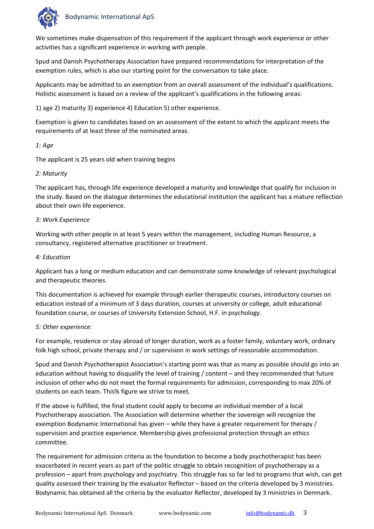

We sometimes make dispensation of this requirement if the applicant through work experience or other activities has a significant experience in working with people.

Spud and Danish Psychotherapy Association have prepared recommendations for interpretation of the exemption rules, which is also our starting point for the conversation to take place.

Applicants may be admitted to an exemption from an overall assessment of the individual's qualifications. Holistic assessment is based on a review of the applicant's qualifications in the following areas:

1) age 2) maturity 3) experience 4) Education 5) other experience.

Exemption is given to candidates based on an assessment of the extent to which the applicant meets the requirements of at least three of the nominated areas.

#### *1: Age*

The applicant is 25 years old when training begins

#### *2: Maturity*

The applicant has, through life experience developed a maturity and knowledge that qualify for inclusion in the study. Based on the dialogue determines the educational institution the applicant has a mature reflection about their own life experience.

#### *3: Work Experience*

Working with other people in at least 5 years within the management, including Human Resource, a consultancy, registered alternative practitioner or treatment.

#### *4: Education*

Applicant has a long or medium education and can demonstrate some knowledge of relevant psychological and therapeutic theories.

This documentation is achieved for example through earlier therapeutic courses, introductory courses on education instead of a minimum of 3 days duration, courses at university or college, adult educational foundation course, or courses of University Extension School, H.F. in psychology.

#### *5: Other experience:*

For example, residence or stay abroad of longer duration, work as a foster family, voluntary work, ordinary folk high school, private therapy and / or supervision in work settings of reasonable accommodation.

Spud and Danish Psychotherapist Association's starting point was that as many as possible should go into an education without having to disqualify the level of training / content – and they recommended that future inclusion of other who do not meet the formal requirements for admission, corresponding to max 20% of students on each team. This% figure we strive to meet.

If the above is fulfilled, the final student could apply to become an individual member of a local Psychotherapy association. The Association will determine whether the sovereign will recognize the exemption Bodynamic International has given – while they have a greater requirement for therapy / supervision and practice experience. Membership gives professional protection through an ethics committee.

The requirement for admission criteria as the foundation to become a body psychotherapist has been exacerbated in recent years as part of the politic struggle to obtain recognition of psychotherapy as a profession – apart from psychology and psychiatry. This struggle has so far led to programs that wish, can get quality assessed their training by the evaluator Reflector – based on the criteria developed by 3 ministries. Bodynamic has obtained all the criteria by the evaluator Reflector, developed by 3 ministries in Denmark.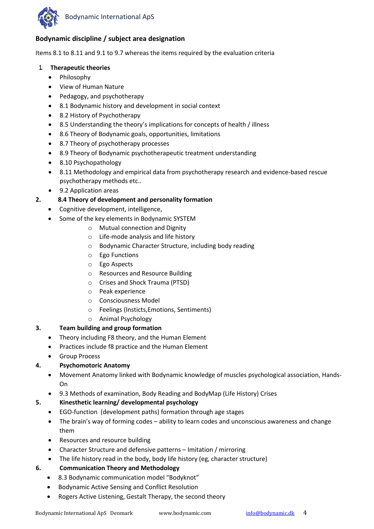

#### **Bodynamic discipline / subject area designation**

Items 8.1 to 8.11 and 9.1 to 9.7 whereas the items required by the evaluation criteria

#### **1. Therapeutic theories**

- Philosophy
- View of Human Nature
- Pedagogy, and psychotherapy
- 8.1 Bodynamic history and development in social context
- 8.2 History of Psychotherapy
- 8.5 Understanding the theory's implications for concepts of health / illness
- 8.6 Theory of Bodynamic goals, opportunities, limitations
- 8.7 Theory of psychotherapy processes
- 8.9 Theory of Bodynamic psychotherapeutic treatment understanding
- 8.10 Psychopathology
- 8.11 Methodology and empirical data from psychotherapy research and evidence-based rescue psychotherapy methods etc..
- 9.2 Application areas
- **2. 8.4 Theory of development and personality formation**
	- Cognitive development, intelligence,
	- Some of the key elements in Bodynamic SYSTEM
		- o Mutual connection and Dignity
		- o Life-mode analysis and life history
		- o Bodynamic Character Structure, including body reading
		- o Ego Functions
		- o Ego Aspects
		- o Resources and Resource Building
		- o Crises and Shock Trauma (PTSD)
		- o Peak experience
		- o Consciousness Model
		- o Feelings (Insticts,Emotions, Sentiments)
		- o Animal Psychology

#### **3. Team building and group formation**

- Theory including F8 theory, and the Human Element
- Practices include f8 practice and the Human Element
- Group Process

#### **4. Psychomotoric Anatomy**

- Movement Anatomy linked with Bodynamic knowledge of muscles psychological association, Hands-On
- 9.3 Methods of examination, Body Reading and BodyMap (Life History) Crises

#### **5. Kinesthetic learning/ developmental psychology**

- EGO-function (development paths) formation through age stages
- The brain's way of forming codes ability to learn codes and unconscious awareness and change them
- Resources and resource building
- Character Structure and defensive patterns Imitation / mirroring
- The life history read in the body, body life history (eg, character structure)

#### **6. Communication Theory and Methodology**

- 8.3 Bodynamic communication model "Bodyknot"
- Bodynamic Active Sensing and Conflict Resolution
- Rogers Active Listening, Gestalt Therapy, the second theory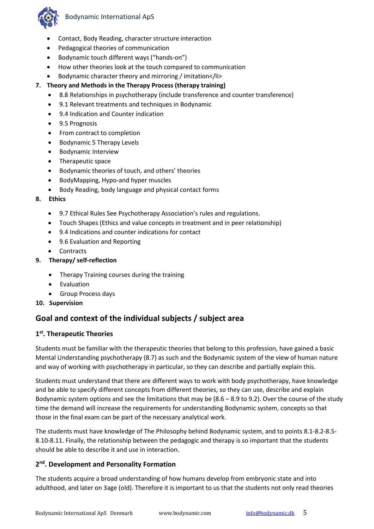

- Contact, Body Reading, character structure interaction
- Pedagogical theories of communication
- Bodynamic touch different ways ("hands-on")
- How other theories look at the touch compared to communication
- Bodynamic character theory and mirroring / imitation</li>
- **7. Theory and Methods in the Therapy Process (therapy training)**
	- 8.8 Relationships in psychotherapy (include transference and counter transference)
	- 9.1 Relevant treatments and techniques in Bodynamic
	- 9.4 Indication and Counter indication
	- 9.5 Prognosis
	- From contract to completion
	- Bodynamic 5 Therapy Levels
	- Bodynamic Interview
	- Therapeutic space
	- Bodynamic theories of touch, and others' theories
	- BodyMapping, Hypo-and hyper muscles
	- Body Reading, body language and physical contact forms

#### **8. Ethics**

- 9.7 Ethical Rules See Psychotherapy Association's rules and regulations.
- Touch Shapes (Ethics and value concepts in treatment and in peer relationship)
- 9.4 Indications and counter indications for contact
- 9.6 Evaluation and Reporting
- Contracts
- **9. Therapy/ self-reflection**
	- Therapy Training courses during the training
	- Evaluation
	- Group Process days

#### **10. Supervision**

## **Goal and context of the individual subjects / subject area**

#### **1st. Therapeutic Theories**

Students must be familiar with the therapeutic theories that belong to this profession, have gained a basic Mental Understanding psychotherapy (8.7) as such and the Bodynamic system of the view of human nature and way of working with psychotherapy in particular, so they can describe and partially explain this.

Students must understand that there are different ways to work with body psychotherapy, have knowledge and be able to specify different concepts from different theories, so they can use, describe and explain Bodynamic system options and see the limitations that may be (8.6 – 8.9 to 9.2). Over the course of the study time the demand will increase the requirements for understanding Bodynamic system, concepts so that those in the final exam can be part of the necessary analytical work.

The students must have knowledge of The Philosophy behind Bodynamic system, and to points 8.1-8.2-8.5- 8.10-8.11. Finally, the relationship between the pedagogic and therapy is so important that the students should be able to describe it and use in interaction.

#### **2nd. Development and Personality Formation**

The students acquire a broad understanding of how humans develop from embryonic state and into adulthood, and later on 3age (old). Therefore it is important to us that the students not only read theories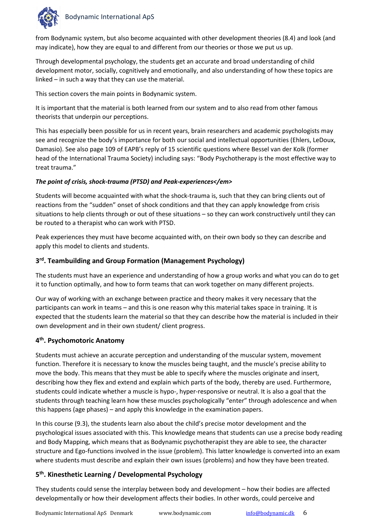

from Bodynamic system, but also become acquainted with other development theories (8.4) and look (and may indicate), how they are equal to and different from our theories or those we put us up.

Through developmental psychology, the students get an accurate and broad understanding of child development motor, socially, cognitively and emotionally, and also understanding of how these topics are linked – in such a way that they can use the material.

This section covers the main points in Bodynamic system.

It is important that the material is both learned from our system and to also read from other famous theorists that underpin our perceptions.

This has especially been possible for us in recent years, brain researchers and academic psychologists may see and recognize the body's importance for both our social and intellectual opportunities (Ehlers, LeDoux, Damasio). See also page 109 of EAPB's reply of 15 scientific questions where Bessel van der Kolk (former head of the International Trauma Society) including says: "Body Psychotherapy is the most effective way to treat trauma."

#### *The point of crisis, shock-trauma (PTSD) and Peak-experiences</em>*

Students will become acquainted with what the shock-trauma is, such that they can bring clients out of reactions from the "sudden" onset of shock conditions and that they can apply knowledge from crisis situations to help clients through or out of these situations – so they can work constructively until they can be routed to a therapist who can work with PTSD.

Peak experiences they must have become acquainted with, on their own body so they can describe and apply this model to clients and students.

#### **3rd. Teambuilding and Group Formation (Management Psychology)**

The students must have an experience and understanding of how a group works and what you can do to get it to function optimally, and how to form teams that can work together on many different projects.

Our way of working with an exchange between practice and theory makes it very necessary that the participants can work in teams – and this is one reason why this material takes space in training. It is expected that the students learn the material so that they can describe how the material is included in their own development and in their own student/ client progress.

#### **4th. Psychomotoric Anatomy**

Students must achieve an accurate perception and understanding of the muscular system, movement function. Therefore it is necessary to know the muscles being taught, and the muscle's precise ability to move the body. This means that they must be able to specify where the muscles originate and insert, describing how they flex and extend and explain which parts of the body, thereby are used. Furthermore, students could indicate whether a muscle is hypo-, hyper-responsive or neutral. It is also a goal that the students through teaching learn how these muscles psychologically "enter" through adolescence and when this happens (age phases) – and apply this knowledge in the examination papers.

In this course (9.3), the students learn also about the child's precise motor development and the psychological issues associated with this. This knowledge means that students can use a precise body reading and Body Mapping, which means that as Bodynamic psychotherapist they are able to see, the character structure and Ego-functions involved in the issue (problem). This latter knowledge is converted into an exam where students must describe and explain their own issues (problems) and how they have been treated.

#### **5th. Kinesthetic Learning / Developmental Psychology**

They students could sense the interplay between body and development – how their bodies are affected developmentally or how their development affects their bodies. In other words, could perceive and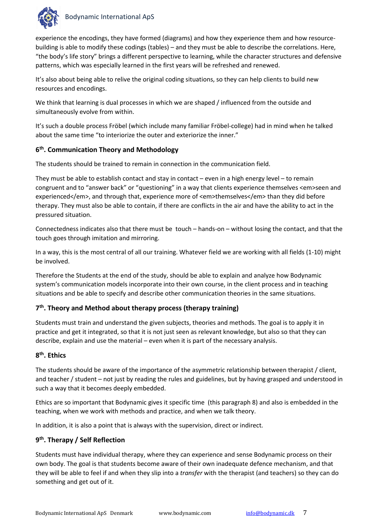

experience the encodings, they have formed (diagrams) and how they experience them and how resourcebuilding is able to modify these codings (tables) – and they must be able to describe the correlations. Here, "the body's life story" brings a different perspective to learning, while the character structures and defensive patterns, which was especially learned in the first years will be refreshed and renewed.

It's also about being able to relive the original coding situations, so they can help clients to build new resources and encodings.

We think that learning is dual processes in which we are shaped / influenced from the outside and simultaneously evolve from within.

It's such a double process Fröbel (which include many familiar Fröbel-college) had in mind when he talked about the same time "to interiorize the outer and exteriorize the inner."

#### **6th. Communication Theory and Methodology**

The students should be trained to remain in connection in the communication field.

They must be able to establish contact and stay in contact – even in a high energy level – to remain congruent and to "answer back" or "questioning" in a way that clients experience themselves <em>seen and experienced</em>, and through that, experience more of <em>themselves</em> than they did before therapy. They must also be able to contain, if there are conflicts in the air and have the ability to act in the pressured situation.

Connectedness indicates also that there must be touch – hands-on – without losing the contact, and that the touch goes through imitation and mirroring.

In a way, this is the most central of all our training. Whatever field we are working with all fields (1-10) might be involved.

Therefore the Students at the end of the study, should be able to explain and analyze how Bodynamic system's communication models incorporate into their own course, in the client process and in teaching situations and be able to specify and describe other communication theories in the same situations.

#### **7th. Theory and Method about therapy process (therapy training)**

Students must train and understand the given subjects, theories and methods. The goal is to apply it in practice and get it integrated, so that it is not just seen as relevant knowledge, but also so that they can describe, explain and use the material – even when it is part of the necessary analysis.

#### **8th. Ethics**

The students should be aware of the importance of the asymmetric relationship between therapist / client, and teacher / student – not just by reading the rules and guidelines, but by having grasped and understood in such a way that it becomes deeply embedded.

Ethics are so important that Bodynamic gives it specific time (this paragraph 8) and also is embedded in the teaching, when we work with methods and practice, and when we talk theory.

In addition, it is also a point that is always with the supervision, direct or indirect.

#### **9th. Therapy / Self Reflection**

Students must have individual therapy, where they can experience and sense Bodynamic process on their own body. The goal is that students become aware of their own inadequate defence mechanism, and that they will be able to feel if and when they slip into a *transfer* with the therapist (and teachers) so they can do something and get out of it.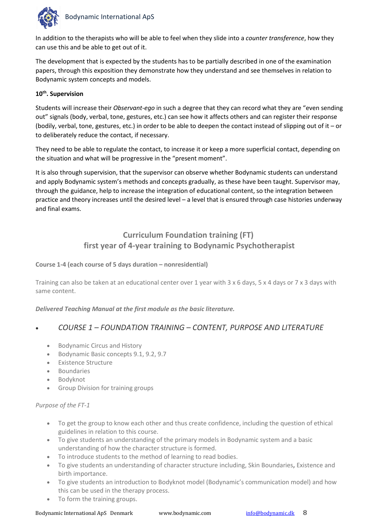

In addition to the therapists who will be able to feel when they slide into a *counter transference*, how they can use this and be able to get out of it.

The development that is expected by the students has to be partially described in one of the examination papers, through this exposition they demonstrate how they understand and see themselves in relation to Bodynamic system concepts and models.

#### **10th. Supervision**

Students will increase their *Observant*-*ego* in such a degree that they can record what they are "even sending out" signals (body, verbal, tone, gestures, etc.) can see how it affects others and can register their response (bodily, verbal, tone, gestures, etc.) in order to be able to deepen the contact instead of slipping out of it – or to deliberately reduce the contact, if necessary.

They need to be able to regulate the contact, to increase it or keep a more superficial contact, depending on the situation and what will be progressive in the "present moment".

It is also through supervision, that the supervisor can observe whether Bodynamic students can understand and apply Bodynamic system's methods and concepts gradually, as these have been taught. Supervisor may, through the guidance, help to increase the integration of educational content, so the integration between practice and theory increases until the desired level – a level that is ensured through case histories underway and final exams.

## **Curriculum Foundation training (FT) first year of 4-year training to Bodynamic Psychotherapist**

#### **Course 1-4 (each course of 5 days duration – nonresidential)**

Training can also be taken at an educational center over 1 year with 3 x 6 days, 5 x 4 days or 7 x 3 days with same content.

*Delivered Teaching Manual at the first module as the basic literature.*

## • *COURSE 1 – FOUNDATION TRAINING – CONTENT, PURPOSE AND LITERATURE*

- Bodynamic Circus and History
- Bodynamic Basic concepts 9.1, 9.2, 9.7
- Existence Structure
- Boundaries
- Bodyknot
- Group Division for training groups

#### *Purpose of the FT-1*

- To get the group to know each other and thus create confidence, including the question of ethical guidelines in relation to this course.
- To give students an understanding of the primary models in Bodynamic system and a basic understanding of how the character structure is formed.
- To introduce students to the method of learning to read bodies.
- To give students an understanding of character structure including, Skin Boundaries**,** Existence and birth importance.
- To give students an introduction to Bodyknot model (Bodynamic's communication model) and how this can be used in the therapy process.
- To form the training groups.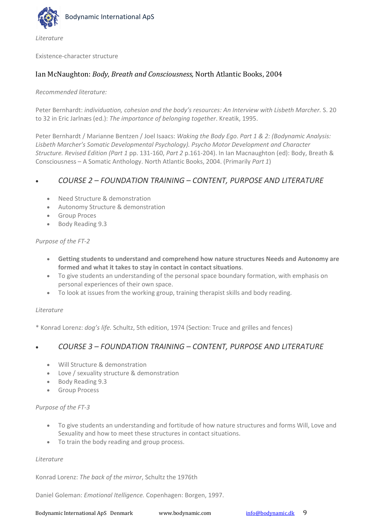

*Literature*

Existence-character structure

#### Ian McNaughton: *Body, Breath and Consciousness,* North Atlantic Books, 2004

#### *Recommended literature:*

Peter Bernhardt: *individuation, cohesion and the body's resources: An Interview with Lisbeth Marcher.* S. 20 to 32 in Eric Jarlnæs (ed.): *The importance of belonging together*. Kreatik, 1995.

Peter Bernhardt / Marianne Bentzen / Joel Isaacs: *Waking the Body Ego*. *Part 1 & 2: (Bodynamic Analysis: Lisbeth Marcher's Somatic Developmental Psychology). Psycho Motor Development and Character Structure. Revised Edition (Part 1* pp. 131-160, *Part 2* p.161-204). In Ian Macnaughton (ed): Body, Breath & Consciousness – A Somatic Anthology. North Atlantic Books, 2004. (Primarily *Part 1*)

#### • *COURSE 2 – FOUNDATION TRAINING – CONTENT, PURPOSE AND LITERATURE*

- Need Structure & demonstration
- Autonomy Structure & demonstration
- Group Proces
- Body Reading 9.3

#### *Purpose of the FT-2*

- **Getting students to understand and comprehend how nature structures Needs and Autonomy are formed and what it takes to stay in contact in contact situations**.
- To give students an understanding of the personal space boundary formation, with emphasis on personal experiences of their own space.
- To look at issues from the working group, training therapist skills and body reading.

#### *Literature*

\* Konrad Lorenz: *dog's life.* Schultz, 5th edition, 1974 (Section: Truce and grilles and fences)

#### • *COURSE 3 – FOUNDATION TRAINING – CONTENT, PURPOSE AND LITERATURE*

- Will Structure & demonstration
- Love / sexuality structure & demonstration
- Body Reading 9.3
- Group Process

#### *Purpose of the FT-3*

- To give students an understanding and fortitude of how nature structures and forms Will, Love and Sexuality and how to meet these structures in contact situations.
- To train the body reading and group process.

#### *Literature*

Konrad Lorenz: *The back of the mirror*, Schultz the 1976th

Daniel Goleman: *Emotional Itelligence.* Copenhagen: Borgen, 1997.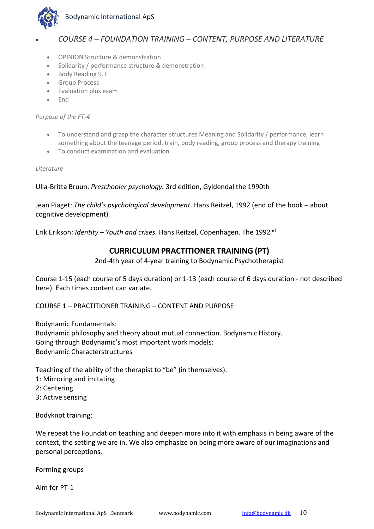

## • *COURSE 4 – FOUNDATION TRAINING – CONTENT, PURPOSE AND LITERATURE*

- OPINION Structure & demonstration
- Solidarity / performance structure & demonstration
- Body Reading 9.3
- Group Process
- Evaluation plus exam
- End

*Purpose of the FT-4*

- To understand and grasp the character structures Meaning and Solidarity / performance, learn something about the teenage period, train, body reading, group process and therapy training
- To conduct examination and evaluation

*Literature*

#### Ulla-Britta Bruun. *Preschooler psychology.* 3rd edition, Gyldendal the 1990th

Jean Piaget: *The child's psychological development*. Hans Reitzel, 1992 (end of the book – about cognitive development)

Erik Erikson: *Identity – Youth and crises.* Hans Reitzel, Copenhagen. The 1992nd

## **CURRICULUM PRACTITIONER TRAINING (PT)**

2nd-4th year of 4-year training to Bodynamic Psychotherapist

Course 1-15 (each course of 5 days duration) or 1-13 (each course of 6 days duration - not described here). Each times content can variate.

COURSE 1 – PRACTITIONER TRAINING – CONTENT AND PURPOSE

Bodynamic Fundamentals:

Bodynamic philosophy and theory about mutual connection. Bodynamic History. Going through Bodynamic's most important work models: Bodynamic Characterstructures

Teaching of the ability of the therapist to "be" (in themselves).

- 1: Mirroring and imitating
- 2: Centering
- 3: Active sensing

Bodyknot training:

We repeat the Foundation teaching and deepen more into it with emphasis in being aware of the context, the setting we are in. We also emphasize on being more aware of our imaginations and personal perceptions.

Forming groups

Aim for PT-1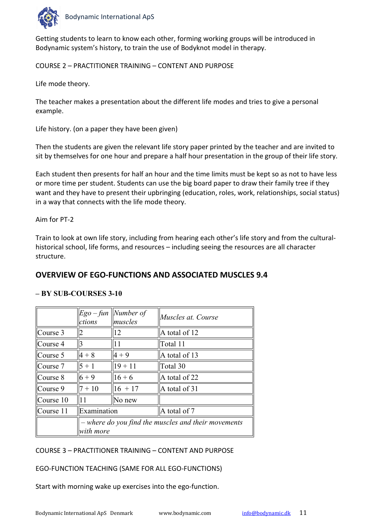

Getting students to learn to know each other, forming working groups will be introduced in Bodynamic system's history, to train the use of Bodyknot model in therapy.

COURSE 2 – PRACTITIONER TRAINING – CONTENT AND PURPOSE

Life mode theory.

The teacher makes a presentation about the different life modes and tries to give a personal example.

Life history. (on a paper they have been given)

Then the students are given the relevant life story paper printed by the teacher and are invited to sit by themselves for one hour and prepare a half hour presentation in the group of their life story.

Each student then presents for half an hour and the time limits must be kept so as not to have less or more time per student. Students can use the big board paper to draw their family tree if they want and they have to present their upbringing (education, roles, work, relationships, social status) in a way that connects with the life mode theory.

#### Aim for PT-2

Train to look at own life story, including from hearing each other's life story and from the culturalhistorical school, life forms, and resources – including seeing the resources are all character structure.

## **OVERVIEW OF EGO-FUNCTIONS AND ASSOCIATED MUSCLES 9.4**

#### **– BY SUB-COURSES 3-10**

|              | ctions                                                           | $Ego-fun$ <i>Number of</i><br>muscles | Muscles at. Course |  |  |
|--------------|------------------------------------------------------------------|---------------------------------------|--------------------|--|--|
| $ $ Course 3 |                                                                  | 12                                    | A total of 12      |  |  |
| Course 4     |                                                                  | 11                                    | Total 11           |  |  |
| Course 5     | $4 + 8$                                                          | $4 + 9$                               | A total of 13      |  |  |
| Course 7     | $5 + 1$                                                          | $19 + 11$                             | Total 30           |  |  |
| Course 8     | $6 + 9$                                                          | $16 + 6$                              | A total of 22      |  |  |
| $ $ Course 9 | $7 + 10$                                                         | $16 + 17$                             | A total of 31      |  |  |
| Course 10    | 11                                                               | No new                                |                    |  |  |
| Course 11    | Examination                                                      |                                       | A total of 7       |  |  |
|              | - where do you find the muscles and their movements<br>with more |                                       |                    |  |  |

#### COURSE 3 – PRACTITIONER TRAINING – CONTENT AND PURPOSE

EGO-FUNCTION TEACHING (SAME FOR ALL EGO-FUNCTIONS)

Start with morning wake up exercises into the ego-function.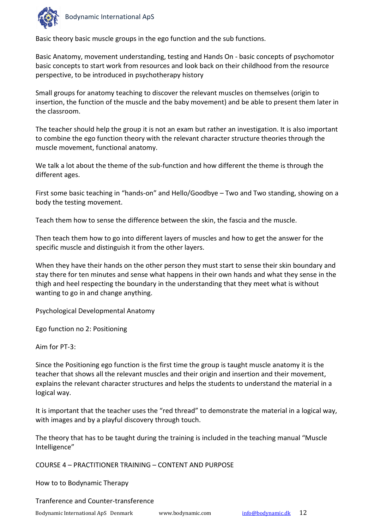

Basic theory basic muscle groups in the ego function and the sub functions.

Basic Anatomy, movement understanding, testing and Hands On - basic concepts of psychomotor basic concepts to start work from resources and look back on their childhood from the resource perspective, to be introduced in psychotherapy history

Small groups for anatomy teaching to discover the relevant muscles on themselves (origin to insertion, the function of the muscle and the baby movement) and be able to present them later in the classroom.

The teacher should help the group it is not an exam but rather an investigation. It is also important to combine the ego function theory with the relevant character structure theories through the muscle movement, functional anatomy.

We talk a lot about the theme of the sub-function and how different the theme is through the different ages.

First some basic teaching in "hands-on" and Hello/Goodbye – Two and Two standing, showing on a body the testing movement.

Teach them how to sense the difference between the skin, the fascia and the muscle.

Then teach them how to go into different layers of muscles and how to get the answer for the specific muscle and distinguish it from the other layers.

When they have their hands on the other person they must start to sense their skin boundary and stay there for ten minutes and sense what happens in their own hands and what they sense in the thigh and heel respecting the boundary in the understanding that they meet what is without wanting to go in and change anything.

Psychological Developmental Anatomy

Ego function no 2: Positioning

Aim for PT-3:

Since the Positioning ego function is the first time the group is taught muscle anatomy it is the teacher that shows all the relevant muscles and their origin and insertion and their movement, explains the relevant character structures and helps the students to understand the material in a logical way.

It is important that the teacher uses the "red thread" to demonstrate the material in a logical way, with images and by a playful discovery through touch.

The theory that has to be taught during the training is included in the teaching manual "Muscle Intelligence"

COURSE 4 – PRACTITIONER TRAINING – CONTENT AND PURPOSE

How to to Bodynamic Therapy

Tranference and Counter-transference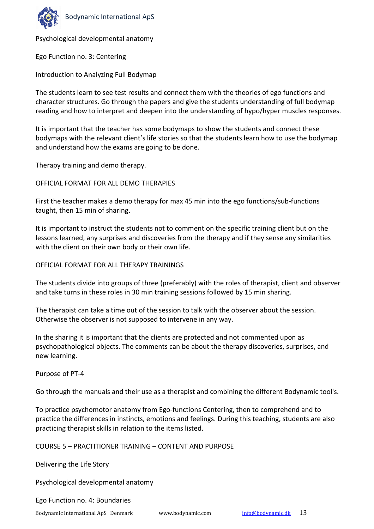

Psychological developmental anatomy

Ego Function no. 3: Centering

Introduction to Analyzing Full Bodymap

The students learn to see test results and connect them with the theories of ego functions and character structures. Go through the papers and give the students understanding of full bodymap reading and how to interpret and deepen into the understanding of hypo/hyper muscles responses.

It is important that the teacher has some bodymaps to show the students and connect these bodymaps with the relevant client's life stories so that the students learn how to use the bodymap and understand how the exams are going to be done.

Therapy training and demo therapy.

OFFICIAL FORMAT FOR ALL DEMO THERAPIES

First the teacher makes a demo therapy for max 45 min into the ego functions/sub-functions taught, then 15 min of sharing.

It is important to instruct the students not to comment on the specific training client but on the lessons learned, any surprises and discoveries from the therapy and if they sense any similarities with the client on their own body or their own life.

#### OFFICIAL FORMAT FOR ALL THERAPY TRAININGS

The students divide into groups of three (preferably) with the roles of therapist, client and observer and take turns in these roles in 30 min training sessions followed by 15 min sharing.

The therapist can take a time out of the session to talk with the observer about the session. Otherwise the observer is not supposed to intervene in any way.

In the sharing it is important that the clients are protected and not commented upon as psychopathological objects. The comments can be about the therapy discoveries, surprises, and new learning.

Purpose of PT-4

Go through the manuals and their use as a therapist and combining the different Bodynamic tool's.

To practice psychomotor anatomy from Ego-functions Centering, then to comprehend and to practice the differences in instincts, emotions and feelings. During this teaching, students are also practicing therapist skills in relation to the items listed.

COURSE 5 – PRACTITIONER TRAINING – CONTENT AND PURPOSE

Delivering the Life Story

Psychological developmental anatomy

Ego Function no. 4: Boundaries

Bodynamic International ApS Denmark www.bodynamic.com [info@bodynamic.dk](mailto:info@bodynamic.dk) 13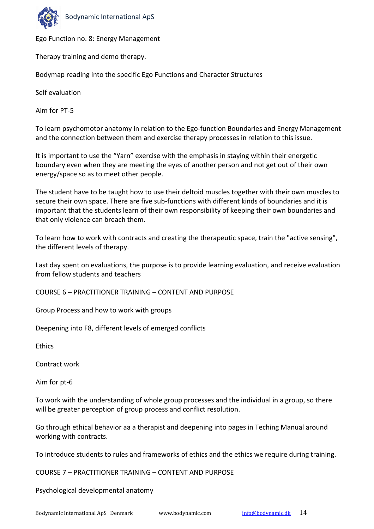

Ego Function no. 8: Energy Management

Therapy training and demo therapy.

Bodymap reading into the specific Ego Functions and Character Structures

Self evaluation

Aim for PT-5

To learn psychomotor anatomy in relation to the Ego-function Boundaries and Energy Management and the connection between them and exercise therapy processes in relation to this issue.

It is important to use the "Yarn" exercise with the emphasis in staying within their energetic boundary even when they are meeting the eyes of another person and not get out of their own energy/space so as to meet other people.

The student have to be taught how to use their deltoid muscles together with their own muscles to secure their own space. There are five sub-functions with different kinds of boundaries and it is important that the students learn of their own responsibility of keeping their own boundaries and that only violence can breach them.

To learn how to work with contracts and creating the therapeutic space, train the "active sensing", the different levels of therapy.

Last day spent on evaluations, the purpose is to provide learning evaluation, and receive evaluation from fellow students and teachers

COURSE 6 – PRACTITIONER TRAINING – CONTENT AND PURPOSE

Group Process and how to work with groups

Deepening into F8, different levels of emerged conflicts

**Ethics** 

Contract work

Aim for pt-6

To work with the understanding of whole group processes and the individual in a group, so there will be greater perception of group process and conflict resolution.

Go through ethical behavior aa a therapist and deepening into pages in Teching Manual around working with contracts.

To introduce students to rules and frameworks of ethics and the ethics we require during training.

COURSE 7 – PRACTITIONER TRAINING – CONTENT AND PURPOSE

Psychological developmental anatomy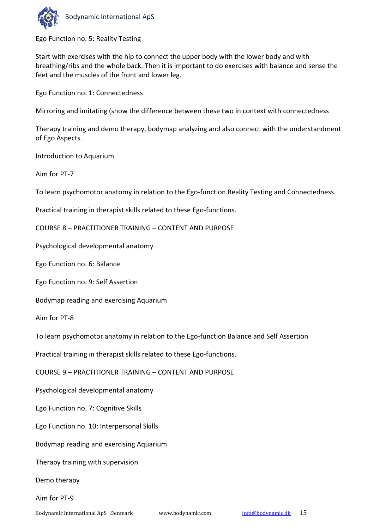

Ego Function no. 5: Reality Testing

Start with exercises with the hip to connect the upper body with the lower body and with breathing/ribs and the whole back. Then it is important to do exercises with balance and sense the feet and the muscles of the front and lower leg.

Ego Function no. 1: Connectedness

Mirroring and imitating (show the difference between these two in context with connectedness

Therapy training and demo therapy, bodymap analyzing and also connect with the understandment of Ego Aspects.

Introduction to Aquarium

Aim for PT-7

To learn psychomotor anatomy in relation to the Ego-function Reality Testing and Connectedness.

Practical training in therapist skills related to these Ego-functions.

COURSE 8 – PRACTITIONER TRAINING – CONTENT AND PURPOSE

Psychological developmental anatomy

Ego Function no. 6: Balance

Ego Function no. 9: Self Assertion

Bodymap reading and exercising Aquarium

Aim for PT-8

To learn psychomotor anatomy in relation to the Ego-function Balance and Self Assertion

Practical training in therapist skills related to these Ego-functions.

COURSE 9 – PRACTITIONER TRAINING – CONTENT AND PURPOSE

Psychological developmental anatomy

Ego Function no. 7: Cognitive Skills

Ego Function no. 10: Interpersonal Skills

Bodymap reading and exercising Aquarium

Therapy training with supervision

Demo therapy

Aim for PT-9

Bodynamic International ApS Denmark www.bodynamic.com [info@bodynamic.dk](mailto:info@bodynamic.dk) 15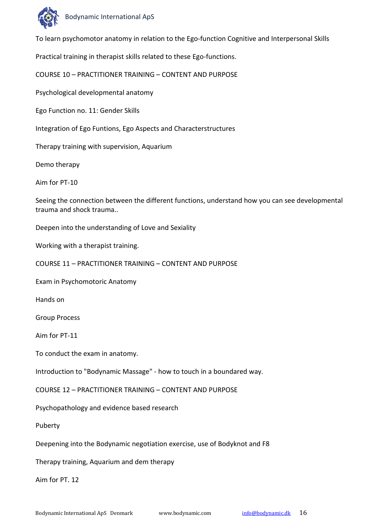

To learn psychomotor anatomy in relation to the Ego-function Cognitive and Interpersonal Skills

Practical training in therapist skills related to these Ego-functions.

COURSE 10 – PRACTITIONER TRAINING – CONTENT AND PURPOSE

Psychological developmental anatomy

Ego Function no. 11: Gender Skills

Integration of Ego Funtions, Ego Aspects and Characterstructures

Therapy training with supervision, Aquarium

Demo therapy

Aim for PT-10

Seeing the connection between the different functions, understand how you can see developmental trauma and shock trauma..

Deepen into the understanding of Love and Sexiality

Working with a therapist training.

COURSE 11 – PRACTITIONER TRAINING – CONTENT AND PURPOSE

Exam in Psychomotoric Anatomy

Hands on

Group Process

Aim for PT-11

To conduct the exam in anatomy.

Introduction to "Bodynamic Massage" - how to touch in a boundared way.

COURSE 12 – PRACTITIONER TRAINING – CONTENT AND PURPOSE

Psychopathology and evidence based research

Puberty

Deepening into the Bodynamic negotiation exercise, use of Bodyknot and F8

Therapy training, Aquarium and dem therapy

Aim for PT. 12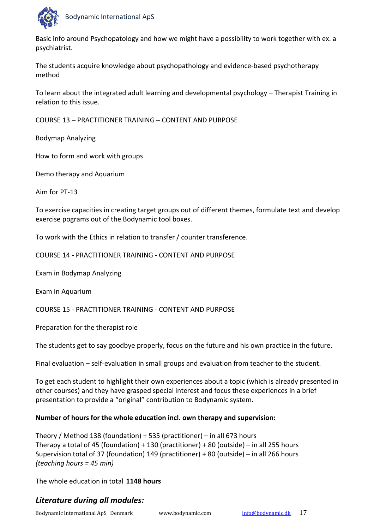

Basic info around Psychopatology and how we might have a possibility to work together with ex. a psychiatrist.

The students acquire knowledge about psychopathology and evidence-based psychotherapy method

To learn about the integrated adult learning and developmental psychology – Therapist Training in relation to this issue.

COURSE 13 – PRACTITIONER TRAINING – CONTENT AND PURPOSE

Bodymap Analyzing

How to form and work with groups

Demo therapy and Aquarium

Aim for PT-13

To exercise capacities in creating target groups out of different themes, formulate text and develop exercise pograms out of the Bodynamic tool boxes.

To work with the Ethics in relation to transfer / counter transference.

COURSE 14 - PRACTITIONER TRAINING - CONTENT AND PURPOSE

Exam in Bodymap Analyzing

Exam in Aquarium

COURSE 15 - PRACTITIONER TRAINING - CONTENT AND PURPOSE

Preparation for the therapist role

The students get to say goodbye properly, focus on the future and his own practice in the future.

Final evaluation – self-evaluation in small groups and evaluation from teacher to the student.

To get each student to highlight their own experiences about a topic (which is already presented in other courses) and they have grasped special interest and focus these experiences in a brief presentation to provide a "original" contribution to Bodynamic system.

## **Number of hours for the whole education incl. own therapy and supervision:**

Theory / Method 138 (foundation) + 535 (practitioner) – in all 673 hours Therapy a total of 45 (foundation) + 130 (practitioner) + 80 (outside) – in all 255 hours Supervision total of 37 (foundation) 149 (practitioner) + 80 (outside) – in all 266 hours *(teaching hours = 45 min)*

The whole education in total **1148 hours**

## *Literature during all modules:*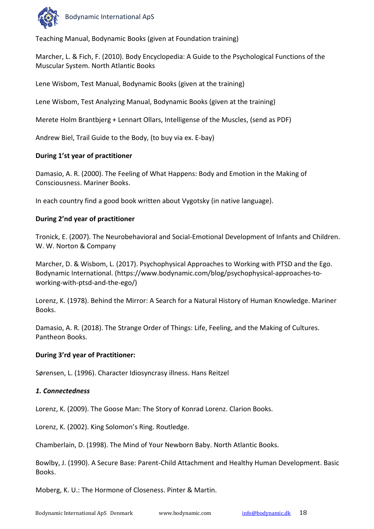

Teaching Manual, Bodynamic Books (given at Foundation training)

Marcher, L. & Fich, F. (2010). Body Encyclopedia: A Guide to the Psychological Functions of the Muscular System. North Atlantic Books

Lene Wisbom, Test Manual, Bodynamic Books (given at the training)

Lene Wisbom, Test Analyzing Manual, Bodynamic Books (given at the training)

Merete Holm Brantbjerg + Lennart Ollars, Intelligense of the Muscles, (send as PDF)

Andrew Biel, Trail Guide to the Body, (to buy via ex. E-bay)

#### **During 1'st year of practitioner**

Damasio, A. R. (2000). The Feeling of What Happens: Body and Emotion in the Making of Consciousness. Mariner Books.

In each country find a good book written about Vygotsky (in native language).

#### **During 2'nd year of practitioner**

Tronick, E. (2007). The Neurobehavioral and Social-Emotional Development of Infants and Children. W. W. Norton & Company

Marcher, D. & Wisbom, L. (2017). Psychophysical Approaches to Working with PTSD and the Ego. Bodynamic International. (https://www.bodynamic.com/blog/psychophysical-approaches-toworking-with-ptsd-and-the-ego/)

Lorenz, K. (1978). Behind the Mirror: A Search for a Natural History of Human Knowledge. Mariner Books.

Damasio, A. R. (2018). The Strange Order of Things: Life, Feeling, and the Making of Cultures. Pantheon Books.

#### **During 3'rd year of Practitioner:**

Sørensen, L. (1996). Character Idiosyncrasy illness. Hans Reitzel

#### *1. Connectedness*

Lorenz, K. (2009). The Goose Man: The Story of Konrad Lorenz. Clarion Books.

Lorenz, K. (2002). King Solomon's Ring. Routledge.

Chamberlain, D. (1998). The Mind of Your Newborn Baby. North Atlantic Books.

Bowlby, J. (1990). A Secure Base: Parent-Child Attachment and Healthy Human Development. Basic Books.

Moberg, K. U.: The Hormone of Closeness. Pinter & Martin.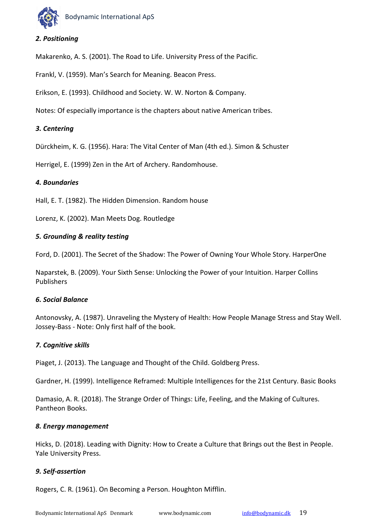

#### *2. Positioning*

Makarenko, A. S. (2001). The Road to Life. University Press of the Pacific.

Frankl, V. (1959). Man's Search for Meaning. Beacon Press.

Erikson, E. (1993). Childhood and Society. W. W. Norton & Company.

Notes: Of especially importance is the chapters about native American tribes.

#### *3. Centering*

Dürckheim, K. G. (1956). Hara: The Vital Center of Man (4th ed.). Simon & Schuster

Herrigel, E. (1999) Zen in the Art of Archery. Randomhouse.

#### *4. Boundaries*

Hall, E. T. (1982). The Hidden Dimension. Random house

Lorenz, K. (2002). Man Meets Dog. Routledge

#### *5. Grounding & reality testing*

Ford, D. (2001). The Secret of the Shadow: The Power of Owning Your Whole Story. HarperOne

Naparstek, B. (2009). Your Sixth Sense: Unlocking the Power of your Intuition. Harper Collins Publishers

#### *6. Social Balance*

Antonovsky, A. (1987). Unraveling the Mystery of Health: How People Manage Stress and Stay Well. Jossey-Bass - Note: Only first half of the book.

#### *7. Cognitive skills*

Piaget, J. (2013). The Language and Thought of the Child. Goldberg Press.

Gardner, H. (1999). Intelligence Reframed: Multiple Intelligences for the 21st Century. Basic Books

Damasio, A. R. (2018). The Strange Order of Things: Life, Feeling, and the Making of Cultures. Pantheon Books.

#### *8. Energy management*

Hicks, D. (2018). Leading with Dignity: How to Create a Culture that Brings out the Best in People. Yale University Press.

#### *9. Self-assertion*

Rogers, C. R. (1961). On Becoming a Person. Houghton Mifflin.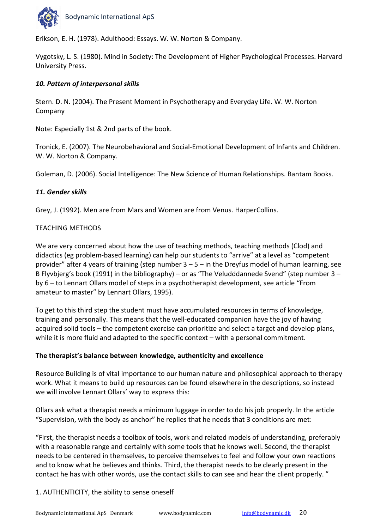

Erikson, E. H. (1978). Adulthood: Essays. W. W. Norton & Company.

Vygotsky, L. S. (1980). Mind in Society: The Development of Higher Psychological Processes. Harvard University Press.

#### *10. Pattern of interpersonal skills*

Stern. D. N. (2004). The Present Moment in Psychotherapy and Everyday Life. W. W. Norton Company

Note: Especially 1st & 2nd parts of the book.

Tronick, E. (2007). The Neurobehavioral and Social-Emotional Development of Infants and Children. W. W. Norton & Company.

Goleman, D. (2006). Social Intelligence: The New Science of Human Relationships. Bantam Books.

#### *11. Gender skills*

Grey, J. (1992). Men are from Mars and Women are from Venus. HarperCollins.

#### TEACHING METHODS

We are very concerned about how the use of teaching methods, teaching methods (Clod) and didactics (eg problem-based learning) can help our students to "arrive" at a level as "competent provider" after 4 years of training (step number 3 – 5 – in the Dreyfus model of human learning, see B Flyvbjerg's book (1991) in the bibliography) – or as "The Veludddannede Svend" (step number 3 – by 6 – to Lennart Ollars model of steps in a psychotherapist development, see article "From amateur to master" by Lennart Ollars, 1995).

To get to this third step the student must have accumulated resources in terms of knowledge, training and personally. This means that the well-educated companion have the joy of having acquired solid tools – the competent exercise can prioritize and select a target and develop plans, while it is more fluid and adapted to the specific context – with a personal commitment.

#### **The therapist's balance between knowledge, authenticity and excellence**

Resource Building is of vital importance to our human nature and philosophical approach to therapy work. What it means to build up resources can be found elsewhere in the descriptions, so instead we will involve Lennart Ollars' way to express this:

Ollars ask what a therapist needs a minimum luggage in order to do his job properly. In the article "Supervision, with the body as anchor" he replies that he needs that 3 conditions are met:

"First, the therapist needs a toolbox of tools, work and related models of understanding, preferably with a reasonable range and certainly with some tools that he knows well. Second, the therapist needs to be centered in themselves, to perceive themselves to feel and follow your own reactions and to know what he believes and thinks. Third, the therapist needs to be clearly present in the contact he has with other words, use the contact skills to can see and hear the client properly. "

#### 1. AUTHENTICITY, the ability to sense oneself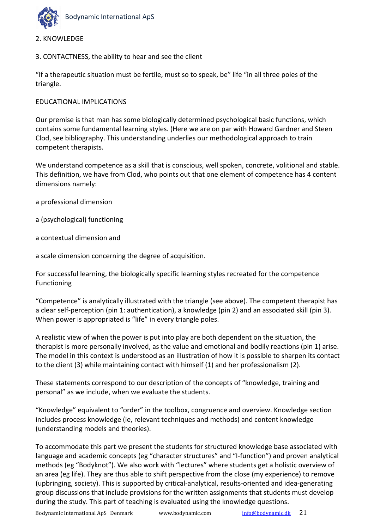

- 2. KNOWLEDGE
- 3. CONTACTNESS, the ability to hear and see the client

"If a therapeutic situation must be fertile, must so to speak, be" life "in all three poles of the triangle.

#### EDUCATIONAL IMPLICATIONS

Our premise is that man has some biologically determined psychological basic functions, which contains some fundamental learning styles. (Here we are on par with Howard Gardner and Steen Clod, see bibliography. This understanding underlies our methodological approach to train competent therapists.

We understand competence as a skill that is conscious, well spoken, concrete, volitional and stable. This definition, we have from Clod, who points out that one element of competence has 4 content dimensions namely:

- a professional dimension
- a (psychological) functioning
- a contextual dimension and

a scale dimension concerning the degree of acquisition.

For successful learning, the biologically specific learning styles recreated for the competence Functioning

"Competence" is analytically illustrated with the triangle (see above). The competent therapist has a clear self-perception (pin 1: authentication), a knowledge (pin 2) and an associated skill (pin 3). When power is appropriated is "life" in every triangle poles.

A realistic view of when the power is put into play are both dependent on the situation, the therapist is more personally involved, as the value and emotional and bodily reactions (pin 1) arise. The model in this context is understood as an illustration of how it is possible to sharpen its contact to the client (3) while maintaining contact with himself (1) and her professionalism (2).

These statements correspond to our description of the concepts of "knowledge, training and personal" as we include, when we evaluate the students.

"Knowledge" equivalent to "order" in the toolbox, congruence and overview. Knowledge section includes process knowledge (ie, relevant techniques and methods) and content knowledge (understanding models and theories).

To accommodate this part we present the students for structured knowledge base associated with language and academic concepts (eg "character structures" and "I-function") and proven analytical methods (eg "Bodyknot"). We also work with "lectures" where students get a holistic overview of an area (eg life). They are thus able to shift perspective from the close (my experience) to remove (upbringing, society). This is supported by critical-analytical, results-oriented and idea-generating group discussions that include provisions for the written assignments that students must develop during the study. This part of teaching is evaluated using the knowledge questions.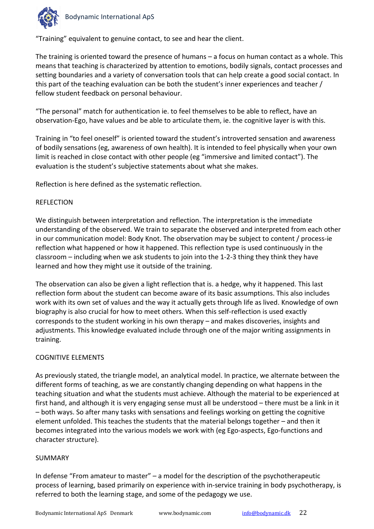

"Training" equivalent to genuine contact, to see and hear the client.

The training is oriented toward the presence of humans – a focus on human contact as a whole. This means that teaching is characterized by attention to emotions, bodily signals, contact processes and setting boundaries and a variety of conversation tools that can help create a good social contact. In this part of the teaching evaluation can be both the student's inner experiences and teacher / fellow student feedback on personal behaviour.

"The personal" match for authentication ie. to feel themselves to be able to reflect, have an observation-Ego, have values and be able to articulate them, ie. the cognitive layer is with this.

Training in "to feel oneself" is oriented toward the student's introverted sensation and awareness of bodily sensations (eg, awareness of own health). It is intended to feel physically when your own limit is reached in close contact with other people (eg "immersive and limited contact"). The evaluation is the student's subjective statements about what she makes.

Reflection is here defined as the systematic reflection.

#### REFLECTION

We distinguish between interpretation and reflection. The interpretation is the immediate understanding of the observed. We train to separate the observed and interpreted from each other in our communication model: Body Knot. The observation may be subject to content / process-ie reflection what happened or how it happened. This reflection type is used continuously in the classroom – including when we ask students to join into the 1-2-3 thing they think they have learned and how they might use it outside of the training.

The observation can also be given a light reflection that is. a hedge, why it happened. This last reflection form about the student can become aware of its basic assumptions. This also includes work with its own set of values and the way it actually gets through life as lived. Knowledge of own biography is also crucial for how to meet others. When this self-reflection is used exactly corresponds to the student working in his own therapy – and makes discoveries, insights and adjustments. This knowledge evaluated include through one of the major writing assignments in training.

#### COGNITIVE ELEMENTS

As previously stated, the triangle model, an analytical model. In practice, we alternate between the different forms of teaching, as we are constantly changing depending on what happens in the teaching situation and what the students must achieve. Although the material to be experienced at first hand, and although it is very engaging sense must all be understood – there must be a link in it – both ways. So after many tasks with sensations and feelings working on getting the cognitive element unfolded. This teaches the students that the material belongs together – and then it becomes integrated into the various models we work with (eg Ego-aspects, Ego-functions and character structure).

#### SUMMARY

In defense "From amateur to master" – a model for the description of the psychotherapeutic process of learning, based primarily on experience with in-service training in body psychotherapy, is referred to both the learning stage, and some of the pedagogy we use.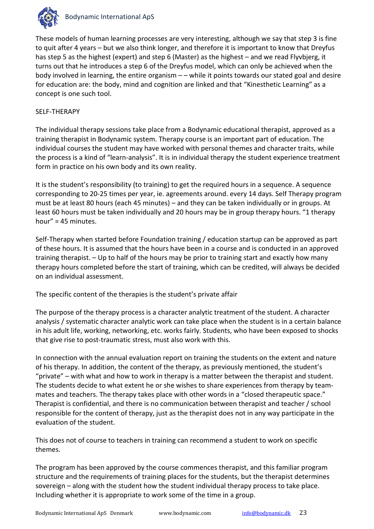

These models of human learning processes are very interesting, although we say that step 3 is fine to quit after 4 years – but we also think longer, and therefore it is important to know that Dreyfus has step 5 as the highest (expert) and step 6 (Master) as the highest – and we read Flyvbjerg, it turns out that he introduces a step 6 of the Dreyfus model, which can only be achieved when the body involved in learning, the entire organism – – while it points towards our stated goal and desire for education are: the body, mind and cognition are linked and that "Kinesthetic Learning" as a concept is one such tool.

#### SELF-THERAPY

The individual therapy sessions take place from a Bodynamic educational therapist, approved as a training therapist in Bodynamic system. Therapy course is an important part of education. The individual courses the student may have worked with personal themes and character traits, while the process is a kind of "learn-analysis". It is in individual therapy the student experience treatment form in practice on his own body and its own reality.

It is the student's responsibility (to training) to get the required hours in a sequence. A sequence corresponding to 20-25 times per year, ie. agreements around. every 14 days. Self Therapy program must be at least 80 hours (each 45 minutes) – and they can be taken individually or in groups. At least 60 hours must be taken individually and 20 hours may be in group therapy hours. "1 therapy hour" = 45 minutes.

Self-Therapy when started before Foundation training / education startup can be approved as part of these hours. It is assumed that the hours have been in a course and is conducted in an approved training therapist. – Up to half of the hours may be prior to training start and exactly how many therapy hours completed before the start of training, which can be credited, will always be decided on an individual assessment.

The specific content of the therapies is the student's private affair

The purpose of the therapy process is a character analytic treatment of the student. A character analysis / systematic character analytic work can take place when the student is in a certain balance in his adult life, working, networking, etc. works fairly. Students, who have been exposed to shocks that give rise to post-traumatic stress, must also work with this.

In connection with the annual evaluation report on training the students on the extent and nature of his therapy. In addition, the content of the therapy, as previously mentioned, the student's "private" – with what and how to work in therapy is a matter between the therapist and student. The students decide to what extent he or she wishes to share experiences from therapy by teammates and teachers. The therapy takes place with other words in a "closed therapeutic space." Therapist is confidential, and there is no communication between therapist and teacher / school responsible for the content of therapy, just as the therapist does not in any way participate in the evaluation of the student.

This does not of course to teachers in training can recommend a student to work on specific themes.

The program has been approved by the course commences therapist, and this familiar program structure and the requirements of training places for the students, but the therapist determines sovereign – along with the student how the student individual therapy process to take place. Including whether it is appropriate to work some of the time in a group.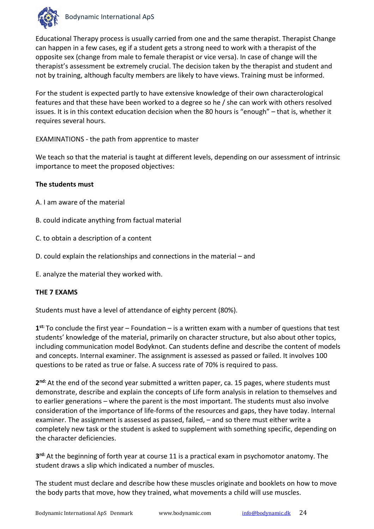

Educational Therapy process is usually carried from one and the same therapist. Therapist Change can happen in a few cases, eg if a student gets a strong need to work with a therapist of the opposite sex (change from male to female therapist or vice versa). In case of change will the therapist's assessment be extremely crucial. The decision taken by the therapist and student and not by training, although faculty members are likely to have views. Training must be informed.

For the student is expected partly to have extensive knowledge of their own characterological features and that these have been worked to a degree so he / she can work with others resolved issues. It is in this context education decision when the 80 hours is "enough" – that is, whether it requires several hours.

EXAMINATIONS - the path from apprentice to master

We teach so that the material is taught at different levels, depending on our assessment of intrinsic importance to meet the proposed objectives:

#### **The students must**

- A. I am aware of the material
- B. could indicate anything from factual material
- C. to obtain a description of a content
- D. could explain the relationships and connections in the material and
- E. analyze the material they worked with.

#### **THE 7 EXAMS**

Students must have a level of attendance of eighty percent (80%).

**1st:** To conclude the first year – Foundation – is a written exam with a number of questions that test students' knowledge of the material, primarily on character structure, but also about other topics, including communication model Bodyknot. Can students define and describe the content of models and concepts. Internal examiner. The assignment is assessed as passed or failed. It involves 100 questions to be rated as true or false. A success rate of 70% is required to pass.

**2nd:** At the end of the second year submitted a written paper, ca. 15 pages, where students must demonstrate, describe and explain the concepts of Life form analysis in relation to themselves and to earlier generations – where the parent is the most important. The students must also involve consideration of the importance of life-forms of the resources and gaps, they have today. Internal examiner. The assignment is assessed as passed, failed, – and so there must either write a completely new task or the student is asked to supplement with something specific, depending on the character deficiencies.

**3rd:** At the beginning of forth year at course 11 is a practical exam in psychomotor anatomy. The student draws a slip which indicated a number of muscles.

The student must declare and describe how these muscles originate and booklets on how to move the body parts that move, how they trained, what movements a child will use muscles.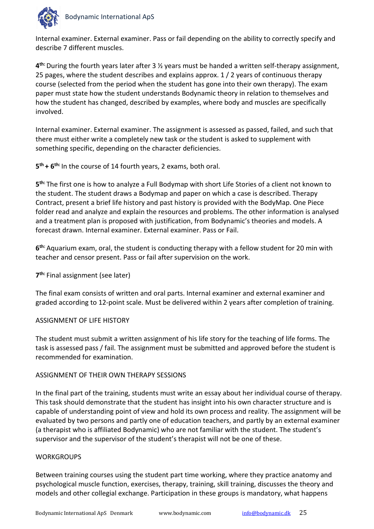

Internal examiner. External examiner. Pass or fail depending on the ability to correctly specify and describe 7 different muscles.

**4th:** During the fourth years later after 3 ½ years must be handed a written self-therapy assignment, 25 pages, where the student describes and explains approx. 1 / 2 years of continuous therapy course (selected from the period when the student has gone into their own therapy). The exam paper must state how the student understands Bodynamic theory in relation to themselves and how the student has changed, described by examples, where body and muscles are specifically involved.

Internal examiner. External examiner. The assignment is assessed as passed, failed, and such that there must either write a completely new task or the student is asked to supplement with something specific, depending on the character deficiencies.

**5th + 6th:** In the course of 14 fourth years, 2 exams, both oral.

**5th:** The first one is how to analyze a Full Bodymap with short Life Stories of a client not known to the student. The student draws a Bodymap and paper on which a case is described. Therapy Contract, present a brief life history and past history is provided with the BodyMap. One Piece folder read and analyze and explain the resources and problems. The other information is analysed and a treatment plan is proposed with justification, from Bodynamic's theories and models. A forecast drawn. Internal examiner. External examiner. Pass or Fail.

**6th:** Aquarium exam, oral, the student is conducting therapy with a fellow student for 20 min with teacher and censor present. Pass or fail after supervision on the work.

**7th:** Final assignment (see later)

The final exam consists of written and oral parts. Internal examiner and external examiner and graded according to 12-point scale. Must be delivered within 2 years after completion of training.

#### ASSIGNMENT OF LIFE HISTORY

The student must submit a written assignment of his life story for the teaching of life forms. The task is assessed pass / fail. The assignment must be submitted and approved before the student is recommended for examination.

#### ASSIGNMENT OF THEIR OWN THERAPY SESSIONS

In the final part of the training, students must write an essay about her individual course of therapy. This task should demonstrate that the student has insight into his own character structure and is capable of understanding point of view and hold its own process and reality. The assignment will be evaluated by two persons and partly one of education teachers, and partly by an external examiner (a therapist who is affiliated Bodynamic) who are not familiar with the student. The student's supervisor and the supervisor of the student's therapist will not be one of these.

#### **WORKGROUPS**

Between training courses using the student part time working, where they practice anatomy and psychological muscle function, exercises, therapy, training, skill training, discusses the theory and models and other collegial exchange. Participation in these groups is mandatory, what happens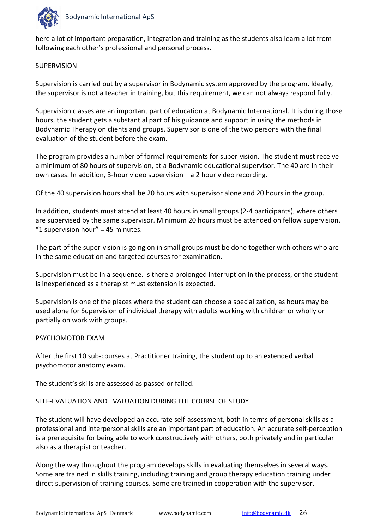

here a lot of important preparation, integration and training as the students also learn a lot from following each other's professional and personal process.

#### **SUPERVISION**

Supervision is carried out by a supervisor in Bodynamic system approved by the program. Ideally, the supervisor is not a teacher in training, but this requirement, we can not always respond fully.

Supervision classes are an important part of education at Bodynamic International. It is during those hours, the student gets a substantial part of his guidance and support in using the methods in Bodynamic Therapy on clients and groups. Supervisor is one of the two persons with the final evaluation of the student before the exam.

The program provides a number of formal requirements for super-vision. The student must receive a minimum of 80 hours of supervision, at a Bodynamic educational supervisor. The 40 are in their own cases. In addition, 3-hour video supervision – a 2 hour video recording.

Of the 40 supervision hours shall be 20 hours with supervisor alone and 20 hours in the group.

In addition, students must attend at least 40 hours in small groups (2-4 participants), where others are supervised by the same supervisor. Minimum 20 hours must be attended on fellow supervision. "1 supervision hour" = 45 minutes.

The part of the super-vision is going on in small groups must be done together with others who are in the same education and targeted courses for examination.

Supervision must be in a sequence. Is there a prolonged interruption in the process, or the student is inexperienced as a therapist must extension is expected.

Supervision is one of the places where the student can choose a specialization, as hours may be used alone for Supervision of individual therapy with adults working with children or wholly or partially on work with groups.

#### PSYCHOMOTOR EXAM

After the first 10 sub-courses at Practitioner training, the student up to an extended verbal psychomotor anatomy exam.

The student's skills are assessed as passed or failed.

#### SELF-EVALUATION AND EVALUATION DURING THE COURSE OF STUDY

The student will have developed an accurate self-assessment, both in terms of personal skills as a professional and interpersonal skills are an important part of education. An accurate self-perception is a prerequisite for being able to work constructively with others, both privately and in particular also as a therapist or teacher.

Along the way throughout the program develops skills in evaluating themselves in several ways. Some are trained in skills training, including training and group therapy education training under direct supervision of training courses. Some are trained in cooperation with the supervisor.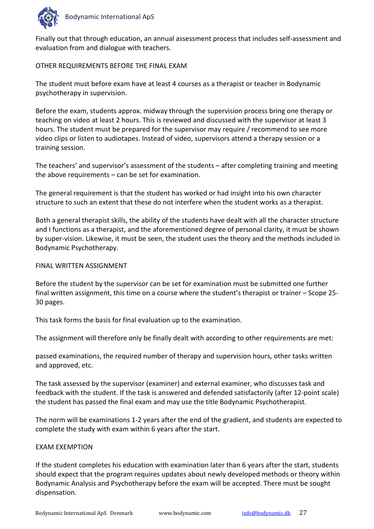

Finally out that through education, an annual assessment process that includes self-assessment and evaluation from and dialogue with teachers.

#### OTHER REQUIREMENTS BEFORE THE FINAL EXAM

The student must before exam have at least 4 courses as a therapist or teacher in Bodynamic psychotherapy in supervision.

Before the exam, students approx. midway through the supervision process bring one therapy or teaching on video at least 2 hours. This is reviewed and discussed with the supervisor at least 3 hours. The student must be prepared for the supervisor may require / recommend to see more video clips or listen to audiotapes. Instead of video, supervisors attend a therapy session or a training session.

The teachers' and supervisor's assessment of the students – after completing training and meeting the above requirements – can be set for examination.

The general requirement is that the student has worked or had insight into his own character structure to such an extent that these do not interfere when the student works as a therapist.

Both a general therapist skills, the ability of the students have dealt with all the character structure and I functions as a therapist, and the aforementioned degree of personal clarity, it must be shown by super-vision. Likewise, it must be seen, the student uses the theory and the methods included in Bodynamic Psychotherapy.

#### FINAL WRITTEN ASSIGNMENT

Before the student by the supervisor can be set for examination must be submitted one further final written assignment, this time on a course where the student's therapist or trainer – Scope 25- 30 pages.

This task forms the basis for final evaluation up to the examination.

The assignment will therefore only be finally dealt with according to other requirements are met:

passed examinations, the required number of therapy and supervision hours, other tasks written and approved, etc.

The task assessed by the supervisor (examiner) and external examiner, who discusses task and feedback with the student. If the task is answered and defended satisfactorily (after 12-point scale) the student has passed the final exam and may use the title Bodynamic Psychotherapist.

The norm will be examinations 1-2 years after the end of the gradient, and students are expected to complete the study with exam within 6 years after the start.

#### EXAM EXEMPTION

If the student completes his education with examination later than 6 years after the start, students should expect that the program requires updates about newly developed methods or theory within Bodynamic Analysis and Psychotherapy before the exam will be accepted. There must be sought dispensation.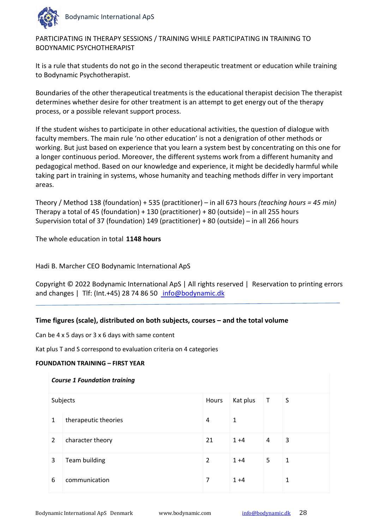

PARTICIPATING IN THERAPY SESSIONS / TRAINING WHILE PARTICIPATING IN TRAINING TO BODYNAMIC PSYCHOTHERAPIST

It is a rule that students do not go in the second therapeutic treatment or education while training to Bodynamic Psychotherapist.

Boundaries of the other therapeutical treatments is the educational therapist decision The therapist determines whether desire for other treatment is an attempt to get energy out of the therapy process, or a possible relevant support process.

If the student wishes to participate in other educational activities, the question of dialogue with faculty members. The main rule 'no other education' is not a denigration of other methods or working. But just based on experience that you learn a system best by concentrating on this one for a longer continuous period. Moreover, the different systems work from a different humanity and pedagogical method. Based on our knowledge and experience, it might be decidedly harmful while taking part in training in systems, whose humanity and teaching methods differ in very important areas.

Theory / Method 138 (foundation) + 535 (practitioner) – in all 673 hours *(teaching hours = 45 min)* Therapy a total of 45 (foundation) + 130 (practitioner) + 80 (outside) – in all 255 hours Supervision total of 37 (foundation) 149 (practitioner) + 80 (outside) – in all 266 hours

The whole education in total **1148 hours**

Hadi B. Marcher CEO Bodynamic International ApS

Copyright © 2022 Bodynamic International ApS | All rights reserved | Reservation to printing errors and changes | Tlf: (Int.+45) 28 74 86 50 [info@bodynamic.dk](mailto:info@bodynamic.dk)

#### **Time figures (scale), distributed on both subjects, courses – and the total volume**

Can be 4 x 5 days or 3 x 6 days with same content

Kat plus T and S correspond to evaluation criteria on 4 categories

#### **FOUNDATION TRAINING – FIRST YEAR**

#### *Course 1 Foundation training*

| Subjects      |                      | Hours          | Kat plus | $\mathsf T$ | S |
|---------------|----------------------|----------------|----------|-------------|---|
| 1             | therapeutic theories | 4              | 1        |             |   |
| $\mathcal{L}$ | character theory     | 21             | $1 + 4$  | 4           | 3 |
| 3             | <b>Team building</b> | $\overline{2}$ | $1 + 4$  | 5           | 1 |
| 6             | communication        | 7              | $1 + 4$  |             | 1 |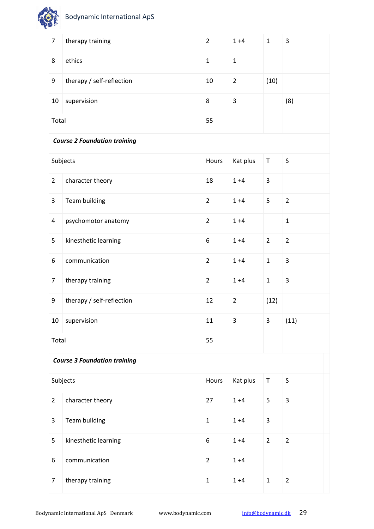| $\overline{7}$          | therapy training                    | $\overline{2}$ | $1 + 4$        | $\mathbf{1}$   | 3                       |  |
|-------------------------|-------------------------------------|----------------|----------------|----------------|-------------------------|--|
| 8                       | ethics                              | $\mathbf{1}$   | $\mathbf{1}$   |                |                         |  |
| 9                       | therapy / self-reflection           | 10             | $\overline{2}$ | (10)           |                         |  |
| 10                      | supervision                         | 8              | 3              |                | (8)                     |  |
| Total                   |                                     | 55             |                |                |                         |  |
|                         | <b>Course 2 Foundation training</b> |                |                |                |                         |  |
|                         | Subjects                            | Hours          | Kat plus       | $\top$         | S                       |  |
| $\overline{2}$          | character theory                    | 18             | $1 + 4$        | $\overline{3}$ |                         |  |
| $\overline{3}$          | Team building                       | $\overline{2}$ | $1 + 4$        | 5              | $\overline{2}$          |  |
| $\overline{\mathbf{4}}$ | psychomotor anatomy                 | $\overline{2}$ | $1 + 4$        |                | $\mathbf{1}$            |  |
| 5                       | kinesthetic learning                | 6              | $1 + 4$        | $\overline{2}$ | $\overline{2}$          |  |
| 6                       | communication                       | $\overline{2}$ | $1 + 4$        | $\mathbf{1}$   | 3                       |  |
| $\overline{7}$          | therapy training                    | $\overline{2}$ | $1 + 4$        | $\mathbf{1}$   | 3                       |  |
| 9                       | therapy / self-reflection           | 12             | $\overline{2}$ | (12)           |                         |  |
| 10                      | supervision                         | 11             | 3              | 3              | (11)                    |  |
| Total                   |                                     | 55             |                |                |                         |  |
|                         | <b>Course 3 Foundation training</b> |                |                |                |                         |  |
|                         | Subjects                            | Hours          | Kat plus       | $\sf T$        | $\sf S$                 |  |
| $\overline{2}$          | character theory                    | 27             | $1 + 4$        | 5              | $\overline{\mathbf{3}}$ |  |
| 3                       | Team building                       | $\mathbf{1}$   | $1 + 4$        | $\overline{3}$ |                         |  |
| 5                       | kinesthetic learning                | 6              | $1 + 4$        | $\overline{2}$ | $\overline{2}$          |  |
| 6                       | communication                       | $\overline{2}$ | $1 + 4$        |                |                         |  |
| $\overline{7}$          | therapy training                    | $\mathbf 1$    | $1 + 4$        | $\mathbf 1$    | $\overline{2}$          |  |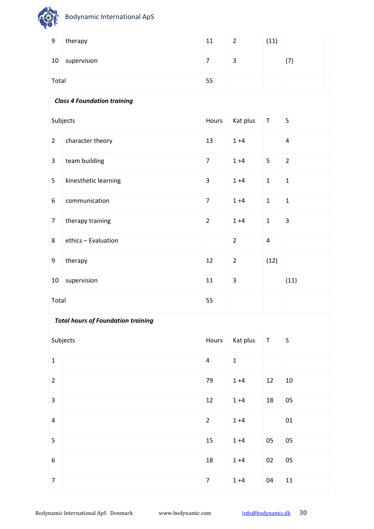| 9                       | therapy                                   | 11                      | $\overline{2}$ | (11)                    |                         |  |
|-------------------------|-------------------------------------------|-------------------------|----------------|-------------------------|-------------------------|--|
| 10                      | supervision                               | $\overline{7}$          | 3              |                         | (7)                     |  |
| Total                   |                                           | 55                      |                |                         |                         |  |
|                         | <b>Class 4 Foundation training</b>        |                         |                |                         |                         |  |
|                         | Subjects                                  | Hours                   | Kat plus       | $\sf T$                 | $\sf S$                 |  |
| $\overline{2}$          | character theory                          | 13                      | $1 + 4$        |                         | $\overline{\mathbf{4}}$ |  |
| 3                       | team building                             | $\overline{7}$          | $1 + 4$        | 5                       | $\overline{2}$          |  |
| 5                       | kinesthetic learning                      | 3                       | $1 + 4$        | $\mathbf{1}$            | $\mathbf 1$             |  |
| 6                       | communication                             | $\overline{7}$          | $1 + 4$        | $\mathbf{1}$            | $\mathbf 1$             |  |
| $\overline{7}$          | therapy training                          | $\overline{2}$          | $1 + 4$        | $\mathbf{1}$            | 3                       |  |
| 8                       | ethics - Evaluation                       |                         | $\overline{2}$ | $\overline{\mathbf{4}}$ |                         |  |
| 9                       | therapy                                   | 12                      | $\overline{2}$ | (12)                    |                         |  |
| 10                      | supervision                               | 11                      | 3              |                         | (11)                    |  |
| Total                   |                                           | 55                      |                |                         |                         |  |
|                         | <b>Total hours of Foundation training</b> |                         |                |                         |                         |  |
|                         | Subjects                                  | Hours                   | Kat plus       | $\mathsf T$             | $\sf S$                 |  |
| $\mathbf{1}$            |                                           | $\overline{\mathbf{4}}$ | $\mathbf{1}$   |                         |                         |  |
| $\overline{2}$          |                                           | 79                      | $1 + 4$        | 12                      | 10                      |  |
| $\overline{\mathbf{3}}$ |                                           | 12                      | $1 + 4$        | 18                      | 05                      |  |
| $\overline{4}$          |                                           | $\overline{2}$          | $1 + 4$        |                         | 01                      |  |
| 5                       |                                           | 15                      | $1 + 4$        | 05                      | 05                      |  |
| 6                       |                                           | $18\,$                  | $1 + 4$        | 02                      | 05                      |  |
| $\overline{7}$          |                                           | $\overline{7}$          | $1 + 4$        | 04                      | 11                      |  |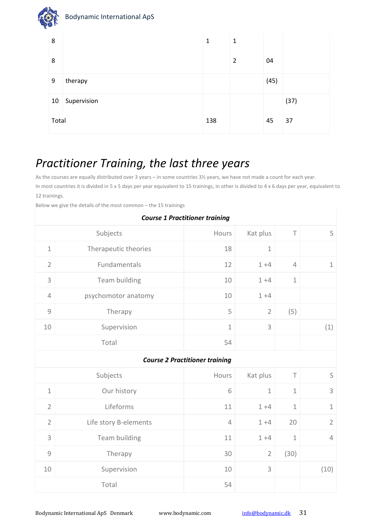|   | <b>Bodynamic International ApS</b> |   |
|---|------------------------------------|---|
| 8 |                                    | 1 |

I

| ັ     |             | <b>.</b> | <u>д.</u>      |      |      |
|-------|-------------|----------|----------------|------|------|
| 8     |             |          | $\overline{2}$ | 04   |      |
| 9     | therapy     |          |                | (45) |      |
| 10    | Supervision |          |                |      | (37) |
| Total |             | 138      |                | 45   | 37   |

## *Practitioner Training, the last three years*

As the courses are equally distributed over 3 years – in some countries 3½ years, we have not made a count for each year. In most countries it is divided in 5 x 5 days per year equivalent to 15 trainings, in other is divided to 4 x 6 days per year, equivalent to 12 trainings.

Below we give the details of the most common – the 15 trainings

| <b>Course 1 Practitioner training</b> |                                         |                                       |                |                |                |  |  |  |
|---------------------------------------|-----------------------------------------|---------------------------------------|----------------|----------------|----------------|--|--|--|
|                                       | S<br>Subjects<br>Kat plus<br>T<br>Hours |                                       |                |                |                |  |  |  |
| $\mathbf 1$                           | Therapeutic theories                    | 18                                    | $\mathbf 1$    |                |                |  |  |  |
| $\overline{2}$                        | Fundamentals                            | 12                                    | $1 + 4$        | $\overline{4}$ | $\mathbf 1$    |  |  |  |
| 3                                     | Team building                           | 10                                    | $1 + 4$        | $\mathbf 1$    |                |  |  |  |
| $\overline{4}$                        | psychomotor anatomy                     | 10                                    | $1 + 4$        |                |                |  |  |  |
| $\mathcal{G}$                         | Therapy                                 | 5                                     | $\overline{2}$ | (5)            |                |  |  |  |
| 10                                    | Supervision                             | $\mathbf 1$                           | 3              |                | (1)            |  |  |  |
|                                       | Total                                   | 54                                    |                |                |                |  |  |  |
|                                       |                                         | <b>Course 2 Practitioner training</b> |                |                |                |  |  |  |
|                                       | Subjects                                | Hours                                 | Kat plus       | T              | S              |  |  |  |
| $1\,$                                 | Our history                             | 6                                     | $\mathbf 1$    | $1\,$          | 3              |  |  |  |
| $\overline{2}$                        | Lifeforms                               | 11                                    | $1 + 4$        | $\mathbf 1$    | $\mathbf 1$    |  |  |  |
| $\overline{2}$                        | Life story B-elements                   | $\overline{4}$                        | $1 + 4$        | 20             | $\overline{2}$ |  |  |  |
| 3                                     | Team building                           | 11                                    | $1 + 4$        | $\mathbf 1$    | 4              |  |  |  |
| $\overline{9}$                        | Therapy                                 | 30                                    | $\overline{2}$ | (30)           |                |  |  |  |
| 10                                    | Supervision                             | 10                                    | 3              |                | (10)           |  |  |  |
|                                       | Total                                   | 54                                    |                |                |                |  |  |  |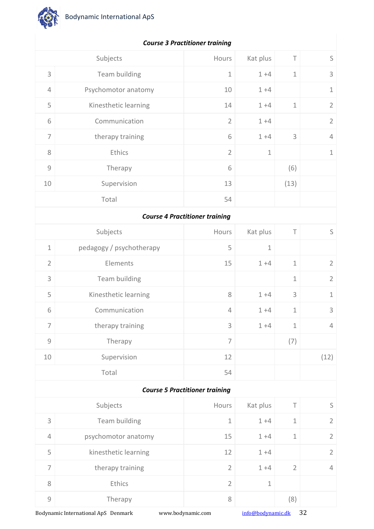

| $\mathsf S$    | $\top$                    | Kat plus    | Hours                                 | Subjects                 |                                                           |
|----------------|---------------------------|-------------|---------------------------------------|--------------------------|-----------------------------------------------------------|
| 3              | $1\,$                     | $1 + 4$     | $1\,$                                 | Team building            | $\mathsf{3}$                                              |
| $1\,$          |                           | $1 + 4$     | 10                                    | Psychomotor anatomy      | $\overline{4}$                                            |
| $\overline{2}$ | $1\,$                     | $1 + 4$     | 14                                    | Kinesthetic learning     | 5                                                         |
| $\overline{2}$ |                           | $1 + 4$     | $\overline{2}$                        | Communication            | 6                                                         |
| $\sqrt{4}$     | 3                         | $1 + 4$     | 6                                     | therapy training         | $\overline{ }$                                            |
| $\mathbf 1$    |                           | $\mathbf 1$ | $\overline{2}$                        | Ethics                   | $\,8\,$                                                   |
|                | (6)                       |             | 6                                     | Therapy                  | $\mathcal{G}% _{M_{1},M_{2}}^{\alpha,\beta}(\varepsilon)$ |
|                | (13)                      |             | 13                                    | Supervision              | $10$                                                      |
|                |                           |             | 54                                    | Total                    |                                                           |
|                |                           |             | <b>Course 4 Practitioner training</b> |                          |                                                           |
| $\mathsf S$    | $\top$                    | Kat plus    | Hours                                 | Subjects                 |                                                           |
|                |                           | $\mathbf 1$ | 5                                     | pedagogy / psychotherapy | $\mathbf 1$                                               |
| $\overline{2}$ | $1\,$                     | $1 + 4$     | 15                                    | Elements                 | $\overline{2}$                                            |
| $\overline{2}$ | $\mathbf 1$               |             |                                       | Team building            | $\ensuremath{\mathsf{3}}$                                 |
| $\mathbf 1$    | $\ensuremath{\mathsf{3}}$ | $1 + 4$     | $\,8\,$                               | Kinesthetic learning     | 5                                                         |
| 3              | $1\,$                     | $1 + 4$     | $\sqrt{4}$                            | Communication            | 6                                                         |
| 4              | $\mathbf 1$               | $1 + 4$     | 3                                     | therapy training         | 7                                                         |
|                | (7)                       |             | $\overline{7}$                        | Therapy                  | $\mathcal{G}% _{M_{1},M_{2}}^{\alpha,\beta}(\varepsilon)$ |
| (12)           |                           |             | 12                                    | Supervision              | $10\,$                                                    |
|                |                           |             | 54                                    | Total                    |                                                           |
|                |                           |             | <b>Course 5 Practitioner training</b> |                          |                                                           |
| $\mathsf S$    | $\top$                    | Kat plus    | Hours                                 | Subjects                 |                                                           |
| $\overline{2}$ | $1\,$                     | $1 + 4$     | $\mathbf 1$                           | Team building            | 3                                                         |
| $\overline{2}$ | $1\,$                     | $1 + 4$     | 15                                    | psychomotor anatomy      | $\overline{4}$                                            |
| $\overline{2}$ |                           | $1 + 4$     | 12                                    | kinesthetic learning     | 5                                                         |
| $\overline{4}$ | $\overline{2}$            | $1 + 4$     | $\overline{2}$                        | therapy training         | $\overline{7}$                                            |
|                |                           | $\mathbf 1$ | $\overline{2}$                        | Ethics                   | $\,8\,$                                                   |
|                | (8)                       |             | $\,8\,$                               | Therapy                  | $\mathcal{G}% _{M_{1},M_{2}}^{\alpha,\beta}(\varepsilon)$ |
|                |                           |             |                                       |                          |                                                           |

#### *Course 3 Practitioner training*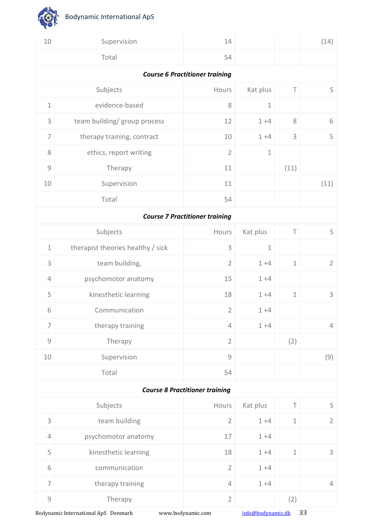![](_page_32_Picture_0.jpeg)

**OF** 

| 10                                                        | Supervision                       | 14                                    |             |             | (14)           |  |  |  |
|-----------------------------------------------------------|-----------------------------------|---------------------------------------|-------------|-------------|----------------|--|--|--|
|                                                           | Total                             | 54                                    |             |             |                |  |  |  |
| <b>Course 6 Practitioner training</b>                     |                                   |                                       |             |             |                |  |  |  |
|                                                           | Subjects                          | Hours                                 | Kat plus    | $\top$      | S              |  |  |  |
| $1\,$                                                     | evidence-based                    | $\,8\,$                               | $\mathbf 1$ |             |                |  |  |  |
| 3                                                         | team building/ group process      | 12                                    | $1 + 4$     | $\,8\,$     | 6              |  |  |  |
| $\overline{7}$                                            | therapy training, contract        | 10                                    | $1 + 4$     | $\mathsf 3$ | 5              |  |  |  |
| 8                                                         | ethics, report writing            | $\overline{2}$                        | $\mathbf 1$ |             |                |  |  |  |
| $\mathcal{G}% _{M_{1},M_{2}}^{\alpha,\beta}(\varepsilon)$ | Therapy                           | 11                                    |             | (11)        |                |  |  |  |
| 10                                                        | Supervision                       | 11                                    |             |             | (11)           |  |  |  |
|                                                           | Total                             | 54                                    |             |             |                |  |  |  |
| <b>Course 7 Practitioner training</b>                     |                                   |                                       |             |             |                |  |  |  |
|                                                           | Subjects                          | Hours                                 | Kat plus    | $\top$      | S              |  |  |  |
| $\mathbf 1$                                               | therapist theories healthy / sick | 3                                     | $\mathbf 1$ |             |                |  |  |  |
| 3                                                         | team building,                    | $\overline{2}$                        | $1 + 4$     | $1\,$       | $\overline{2}$ |  |  |  |
| $\overline{4}$                                            | psychomotor anatomy               | 15                                    | $1 + 4$     |             |                |  |  |  |
| 5                                                         | kinesthetic learning              | 18                                    | $1 + 4$     | $1\,$       | 3              |  |  |  |
| 6                                                         | Communication                     | $\overline{2}$                        | $1 + 4$     |             |                |  |  |  |
| $\overline{7}$                                            | therapy training                  | 4                                     | $1 + 4$     |             | $\overline{4}$ |  |  |  |
| $\mathcal G$                                              | Therapy                           | $\overline{2}$                        |             | (2)         |                |  |  |  |
| $10\,$                                                    | Supervision                       | $\mathcal G$                          |             |             | (9)            |  |  |  |
|                                                           | Total                             | 54                                    |             |             |                |  |  |  |
|                                                           |                                   | <b>Course 8 Practitioner training</b> |             |             |                |  |  |  |
|                                                           | Subjects                          | Hours                                 | Kat plus    | $\top$      | $\mathsf S$    |  |  |  |
| 3                                                         | team building                     | $\overline{2}$                        | $1 + 4$     | $\mathbf 1$ | $\overline{2}$ |  |  |  |
| $\overline{4}$                                            | psychomotor anatomy               | 17                                    | $1 + 4$     |             |                |  |  |  |
| 5                                                         | kinesthetic learning              | 18                                    | $1 + 4$     | $\mathbf 1$ | 3              |  |  |  |
| 6                                                         | communication                     | $\overline{2}$                        | $1 + 4$     |             |                |  |  |  |
| $\overline{7}$                                            | therapy training                  | 4                                     | $1 + 4$     |             | $\overline{4}$ |  |  |  |
| $\mathcal{G}% _{M_{1},M_{2}}^{\alpha,\beta}(\varepsilon)$ | Therapy                           | $\overline{2}$                        |             | (2)         |                |  |  |  |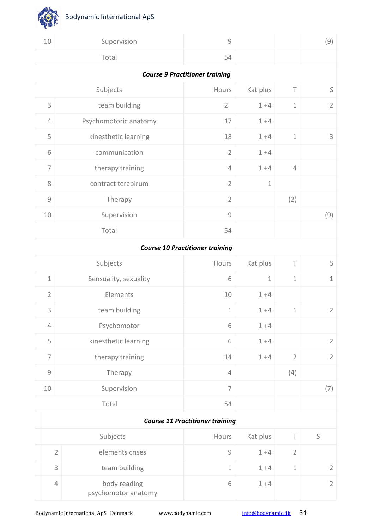念

| 10                                     |                                       | Supervision                         | $\mathcal{G}$                                             |             |                | (9)            |  |  |  |
|----------------------------------------|---------------------------------------|-------------------------------------|-----------------------------------------------------------|-------------|----------------|----------------|--|--|--|
|                                        |                                       | Total                               | 54                                                        |             |                |                |  |  |  |
|                                        | <b>Course 9 Practitioner training</b> |                                     |                                                           |             |                |                |  |  |  |
|                                        |                                       | Subjects                            | Hours                                                     | Kat plus    | $\top$         | $\mathsf S$    |  |  |  |
| 3                                      |                                       | team building                       | $\overline{2}$                                            | $1 + 4$     | $\mathbf 1$    | $\overline{2}$ |  |  |  |
| $\overline{4}$                         |                                       | Psychomotoric anatomy               | 17                                                        | $1 + 4$     |                |                |  |  |  |
| 5                                      |                                       | kinesthetic learning                | 18                                                        | $1 + 4$     | $\mathbf 1$    | 3              |  |  |  |
| 6                                      |                                       | communication                       | $\overline{2}$                                            | $1 + 4$     |                |                |  |  |  |
| $\overline{7}$                         |                                       | therapy training                    | $\overline{4}$                                            | $1 + 4$     | $\overline{4}$ |                |  |  |  |
| 8                                      |                                       | contract terapirum                  | $\overline{2}$                                            | $\mathbf 1$ |                |                |  |  |  |
| $\mathcal G$                           |                                       | Therapy                             | $\overline{2}$                                            |             | (2)            |                |  |  |  |
| 10                                     |                                       | Supervision                         | $\mathcal{G}% _{M_{1},M_{2}}^{\alpha,\beta}(\varepsilon)$ |             |                | (9)            |  |  |  |
|                                        |                                       | Total                               | 54                                                        |             |                |                |  |  |  |
| <b>Course 10 Practitioner training</b> |                                       |                                     |                                                           |             |                |                |  |  |  |
|                                        |                                       | Subjects                            | Hours                                                     | Kat plus    | $\top$         | $\mathsf S$    |  |  |  |
| $\mathbf 1$                            |                                       | Sensuality, sexuality               | 6                                                         | $\mathbf 1$ | $\mathbf 1$    | $\mathbf 1$    |  |  |  |
| $\overline{2}$                         |                                       | Elements                            | 10                                                        | $1 + 4$     |                |                |  |  |  |
| 3                                      |                                       | team building                       | $\mathbf 1$                                               | $1 + 4$     | $\mathbf 1$    | $\overline{2}$ |  |  |  |
| 4                                      |                                       | Psychomotor                         | 6                                                         | $1 + 4$     |                |                |  |  |  |
| 5                                      |                                       | kinesthetic learning                | 6                                                         | $1 + 4$     |                | $\overline{2}$ |  |  |  |
| $\overline{7}$                         |                                       | therapy training                    | 14                                                        | $1 + 4$     | $\overline{2}$ | $\overline{2}$ |  |  |  |
| $\overline{9}$                         |                                       | Therapy                             | $\overline{4}$                                            |             | (4)            |                |  |  |  |
| 10                                     |                                       | Supervision                         | $\overline{7}$                                            |             |                | (7)            |  |  |  |
|                                        |                                       | Total                               | 54                                                        |             |                |                |  |  |  |
|                                        |                                       |                                     | <b>Course 11 Practitioner training</b>                    |             |                |                |  |  |  |
|                                        |                                       | Subjects                            | Hours                                                     | Kat plus    | $\top$         | $\mathsf S$    |  |  |  |
|                                        | $\overline{2}$                        | elements crises                     | $\mathcal{G}% _{M_{1},M_{2}}^{\alpha,\beta}(\varepsilon)$ | $1 + 4$     | $\overline{2}$ |                |  |  |  |
|                                        | 3                                     | team building                       | $\mathbf 1$                                               | $1 + 4$     | $1\,$          | $\overline{2}$ |  |  |  |
|                                        | $\sqrt{4}$                            | body reading<br>psychomotor anatomy | 6                                                         | $1 + 4$     |                | $\overline{2}$ |  |  |  |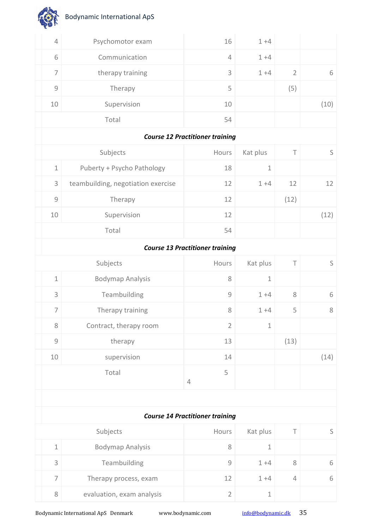| $\sqrt{4}$     | Psychomotor exam                   | 16                                     | $1 + 4$     |                |             |
|----------------|------------------------------------|----------------------------------------|-------------|----------------|-------------|
| 6              | Communication                      | $\overline{4}$                         | $1 + 4$     |                |             |
| $\overline{ }$ | therapy training                   | 3                                      | $1 + 4$     | $\overline{2}$ | 6           |
| $\mathcal G$   | Therapy                            | 5                                      |             | (5)            |             |
| 10             | Supervision                        | 10                                     |             |                | (10)        |
|                | Total                              | 54                                     |             |                |             |
|                |                                    | <b>Course 12 Practitioner training</b> |             |                |             |
|                | Subjects                           | Hours                                  | Kat plus    | Τ              | $\mathsf S$ |
| $1\,$          | Puberty + Psycho Pathology         | 18                                     | $1\,$       |                |             |
| 3              | teambuilding, negotiation exercise | 12                                     | $1 + 4$     | 12             | 12          |
| $\mathcal G$   | Therapy                            | 12                                     |             | (12)           |             |
| 10             | Supervision                        | 12                                     |             |                | (12)        |
|                | Total                              | 54                                     |             |                |             |
|                |                                    | <b>Course 13 Practitioner training</b> |             |                |             |
|                | Subjects                           | Hours                                  | Kat plus    | Τ              | $\mathsf S$ |
| $1\,$          | <b>Bodymap Analysis</b>            | $8\,$                                  | $\mathbf 1$ |                |             |
| 3              | Teambuilding                       | $\mathcal{G}$                          | $1 + 4$     | $\,8\,$        | 6           |
| 7              | Therapy training                   | $\,8\,$                                | $1 + 4$     | 5              | 8           |
| 8              | Contract, therapy room             | $\overline{2}$                         | $\mathbf 1$ |                |             |
| $\mathcal G$   | therapy                            | 13                                     |             | (13)           |             |
| 10             | supervision                        | 14                                     |             |                | (14)        |
|                | Total                              | 5                                      |             |                |             |
|                |                                    | $\overline{4}$                         |             |                |             |
|                |                                    |                                        |             |                |             |
|                |                                    | <b>Course 14 Practitioner training</b> |             |                |             |
|                | Subjects                           | Hours                                  | Kat plus    | $\top$         | $\mathsf S$ |
| $1\,$          | <b>Bodymap Analysis</b>            | $8\,$                                  | $1\,$       |                |             |
| 3              | Teambuilding                       | $\mathcal{G}$                          | $1 + 4$     | 8              | 6           |
| $\overline{7}$ | Therapy process, exam              | 12                                     | $1 + 4$     | $\overline{4}$ | 6           |

Bodynamic International ApS Denmark www.bodynamic.com [info@bodynamic.dk](mailto:info@bodynamic.dk) 35

8 evaluation, exam analysis 1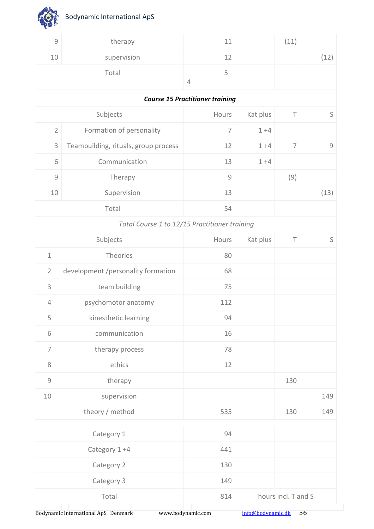| $\mathcal{G}$                                             | therapy                                       | 11                                     |          | (11)           |      |
|-----------------------------------------------------------|-----------------------------------------------|----------------------------------------|----------|----------------|------|
| 10                                                        | supervision                                   | 12                                     |          |                | (12) |
|                                                           | Total                                         | 5<br>$\overline{4}$                    |          |                |      |
|                                                           |                                               | <b>Course 15 Practitioner training</b> |          |                |      |
|                                                           | Subjects                                      | Hours                                  | Kat plus | $\top$         | S    |
| $\overline{2}$                                            | Formation of personality                      | $\overline{7}$                         | $1 + 4$  |                |      |
| 3                                                         | Teambuilding, rituals, group process          | 12                                     | $1 + 4$  | $\overline{7}$ | 9    |
| 6                                                         | Communication                                 | 13                                     | $1 + 4$  |                |      |
| $\mathcal{G}% _{M_{1},M_{2}}^{\alpha,\beta}(\varepsilon)$ | Therapy                                       | $\mathcal G$                           |          | (9)            |      |
| 10                                                        | Supervision                                   | 13                                     |          |                | (13) |
|                                                           | Total                                         | 54                                     |          |                |      |
|                                                           | Total Course 1 to 12/15 Practitioner training |                                        |          |                |      |
|                                                           | Subjects                                      | Hours                                  | Kat plus | $\top$         | S    |
| $\mathbf 1$                                               | Theories                                      | 80                                     |          |                |      |
| $\overline{2}$                                            | development /personality formation            | 68                                     |          |                |      |
|                                                           |                                               |                                        |          |                |      |

| $\overline{2}$  | development /personality formation | 68  |                     |     |  |  |  |
|-----------------|------------------------------------|-----|---------------------|-----|--|--|--|
| 3               | team building                      | 75  |                     |     |  |  |  |
| $\overline{4}$  | psychomotor anatomy                | 112 |                     |     |  |  |  |
| 5               | kinesthetic learning               | 94  |                     |     |  |  |  |
| 6               | communication                      | 16  |                     |     |  |  |  |
| $\overline{7}$  | therapy process                    | 78  |                     |     |  |  |  |
| 8               | ethics                             | 12  |                     |     |  |  |  |
| $\mathcal{G}$   | therapy                            |     | 130                 |     |  |  |  |
| $10\,$          | supervision                        |     |                     | 149 |  |  |  |
| theory / method |                                    | 535 | 130                 | 149 |  |  |  |
|                 |                                    |     |                     |     |  |  |  |
| Category 1      |                                    | 94  |                     |     |  |  |  |
|                 | Category 1 +4                      | 441 |                     |     |  |  |  |
| Category 2      |                                    | 130 |                     |     |  |  |  |
|                 | Category 3                         | 149 |                     |     |  |  |  |
|                 | Total                              | 814 | hours incl. T and S |     |  |  |  |
|                 |                                    |     |                     |     |  |  |  |